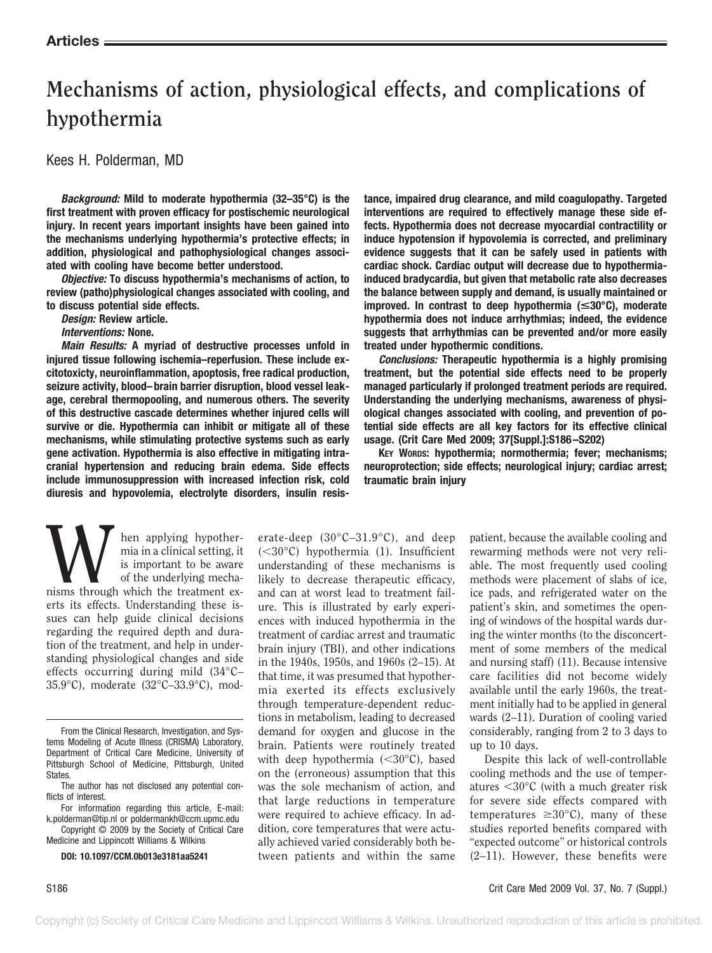# **Mechanisms of action, physiological effects, and complications of hypothermia**

Kees H. Polderman, MD

*Background:* **Mild to moderate hypothermia (32–35°C) is the first treatment with proven efficacy for postischemic neurological injury. In recent years important insights have been gained into the mechanisms underlying hypothermia's protective effects; in addition, physiological and pathophysiological changes associated with cooling have become better understood.**

*Objective:* **To discuss hypothermia's mechanisms of action, to review (patho)physiological changes associated with cooling, and to discuss potential side effects.**

*Design:* **Review article.** *Interventions:* **None.**

*Main Results:* **A myriad of destructive processes unfold in injured tissue following ischemia–reperfusion. These include excitotoxicty, neuroinflammation, apoptosis, free radical production, seizure activity, blood–brain barrier disruption, blood vessel leakage, cerebral thermopooling, and numerous others. The severity of this destructive cascade determines whether injured cells will survive or die. Hypothermia can inhibit or mitigate all of these mechanisms, while stimulating protective systems such as early gene activation. Hypothermia is also effective in mitigating intracranial hypertension and reducing brain edema. Side effects include immunosuppression with increased infection risk, cold diuresis and hypovolemia, electrolyte disorders, insulin resis-** **tance, impaired drug clearance, and mild coagulopathy. Targeted interventions are required to effectively manage these side effects. Hypothermia does not decrease myocardial contractility or induce hypotension if hypovolemia is corrected, and preliminary evidence suggests that it can be safely used in patients with cardiac shock. Cardiac output will decrease due to hypothermiainduced bradycardia, but given that metabolic rate also decreases the balance between supply and demand, is usually maintained or improved. In contrast to deep hypothermia (**<**30°C), moderate hypothermia does not induce arrhythmias; indeed, the evidence suggests that arrhythmias can be prevented and/or more easily treated under hypothermic conditions.**

*Conclusions:* **Therapeutic hypothermia is a highly promising treatment, but the potential side effects need to be properly managed particularly if prolonged treatment periods are required. Understanding the underlying mechanisms, awareness of physiological changes associated with cooling, and prevention of potential side effects are all key factors for its effective clinical usage. (Crit Care Med 2009; 37[Suppl.]:S186–S202)**

**KEY WORDS: hypothermia; normothermia; fever; mechanisms; neuroprotection; side effects; neurological injury; cardiac arrest; traumatic brain injury**

Musical setting, it<br>
is important to be aware<br>
of the underlying mecha-<br>
nisms through which the treatment exmia in a clinical setting, it is important to be aware of the underlying mechaerts its effects. Understanding these issues can help guide clinical decisions regarding the required depth and duration of the treatment, and help in understanding physiological changes and side effects occurring during mild (34°C– 35.9°C), moderate (32°C–33.9°C), mod-

Medicine and Lippincott Williams & Wilkins

**DOI: 10.1097/CCM.0b013e3181aa5241**

erate-deep (30°C–31.9°C), and deep  $(<30^{\circ}$ C) hypothermia (1). Insufficient understanding of these mechanisms is likely to decrease therapeutic efficacy, and can at worst lead to treatment failure. This is illustrated by early experiences with induced hypothermia in the treatment of cardiac arrest and traumatic brain injury (TBI), and other indications in the 1940s, 1950s, and 1960s (2–15). At that time, it was presumed that hypothermia exerted its effects exclusively through temperature-dependent reductions in metabolism, leading to decreased demand for oxygen and glucose in the brain. Patients were routinely treated with deep hypothermia  $(<30^{\circ}$ C), based on the (erroneous) assumption that this was the sole mechanism of action, and that large reductions in temperature were required to achieve efficacy. In addition, core temperatures that were actually achieved varied considerably both between patients and within the same

patient, because the available cooling and rewarming methods were not very reliable. The most frequently used cooling methods were placement of slabs of ice, ice pads, and refrigerated water on the patient's skin, and sometimes the opening of windows of the hospital wards during the winter months (to the disconcertment of some members of the medical and nursing staff) (11). Because intensive care facilities did not become widely available until the early 1960s, the treatment initially had to be applied in general wards (2–11). Duration of cooling varied considerably, ranging from 2 to 3 days to up to 10 days.

Despite this lack of well-controllable cooling methods and the use of temperatures 30°C (with a much greater risk for severe side effects compared with temperatures  $\geq 30^{\circ}$ C), many of these studies reported benefits compared with "expected outcome" or historical controls (2–11). However, these benefits were

From the Clinical Research, Investigation, and Systems Modeling of Acute Illness (CRISMA) Laboratory, Department of Critical Care Medicine, University of Pittsburgh School of Medicine, Pittsburgh, United States.

The author has not disclosed any potential conflicts of interest.

For information regarding this article, E-mail: k.polderman@tip.nl or poldermankh@ccm.upmc.edu Copyright © 2009 by the Society of Critical Care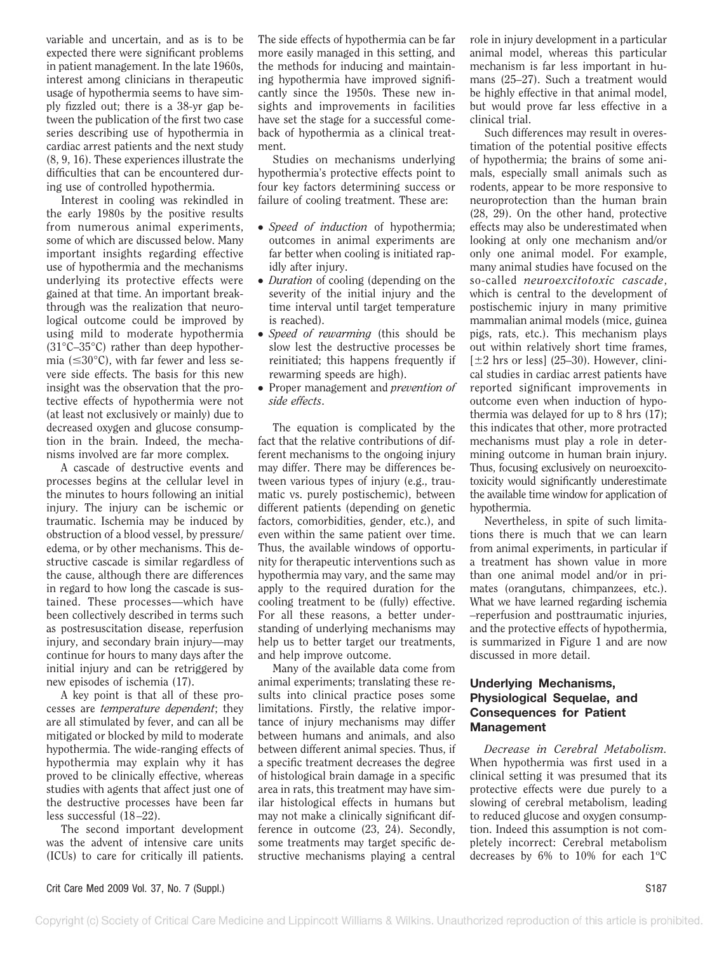variable and uncertain, and as is to be expected there were significant problems in patient management. In the late 1960s, interest among clinicians in therapeutic usage of hypothermia seems to have simply fizzled out; there is a 38-yr gap between the publication of the first two case series describing use of hypothermia in cardiac arrest patients and the next study (8, 9, 16). These experiences illustrate the difficulties that can be encountered during use of controlled hypothermia.

Interest in cooling was rekindled in the early 1980s by the positive results from numerous animal experiments, some of which are discussed below. Many important insights regarding effective use of hypothermia and the mechanisms underlying its protective effects were gained at that time. An important breakthrough was the realization that neurological outcome could be improved by using mild to moderate hypothermia (31°C–35°C) rather than deep hypothermia ( $\leq 30^{\circ}$ C), with far fewer and less severe side effects. The basis for this new insight was the observation that the protective effects of hypothermia were not (at least not exclusively or mainly) due to decreased oxygen and glucose consumption in the brain. Indeed, the mechanisms involved are far more complex.

A cascade of destructive events and processes begins at the cellular level in the minutes to hours following an initial injury. The injury can be ischemic or traumatic. Ischemia may be induced by obstruction of a blood vessel, by pressure/ edema, or by other mechanisms. This destructive cascade is similar regardless of the cause, although there are differences in regard to how long the cascade is sustained. These processes—which have been collectively described in terms such as postresuscitation disease, reperfusion injury, and secondary brain injury—may continue for hours to many days after the initial injury and can be retriggered by new episodes of ischemia (17).

A key point is that all of these processes are *temperature dependent*; they are all stimulated by fever, and can all be mitigated or blocked by mild to moderate hypothermia. The wide-ranging effects of hypothermia may explain why it has proved to be clinically effective, whereas studies with agents that affect just one of the destructive processes have been far less successful (18–22).

The second important development was the advent of intensive care units (ICUs) to care for critically ill patients.

The side effects of hypothermia can be far more easily managed in this setting, and the methods for inducing and maintaining hypothermia have improved significantly since the 1950s. These new insights and improvements in facilities have set the stage for a successful comeback of hypothermia as a clinical treatment.

Studies on mechanisms underlying hypothermia's protective effects point to four key factors determining success or failure of cooling treatment. These are:

- *Speed of induction* of hypothermia; outcomes in animal experiments are far better when cooling is initiated rapidly after injury.
- *Duration* of cooling (depending on the severity of the initial injury and the time interval until target temperature is reached).
- *Speed of rewarming* (this should be slow lest the destructive processes be reinitiated; this happens frequently if rewarming speeds are high).
- Proper management and *prevention of side effects*.

The equation is complicated by the fact that the relative contributions of different mechanisms to the ongoing injury may differ. There may be differences between various types of injury (e.g., traumatic vs. purely postischemic), between different patients (depending on genetic factors, comorbidities, gender, etc.), and even within the same patient over time. Thus, the available windows of opportunity for therapeutic interventions such as hypothermia may vary, and the same may apply to the required duration for the cooling treatment to be (fully) effective. For all these reasons, a better understanding of underlying mechanisms may help us to better target our treatments, and help improve outcome.

Many of the available data come from animal experiments; translating these results into clinical practice poses some limitations. Firstly, the relative importance of injury mechanisms may differ between humans and animals, and also between different animal species. Thus, if a specific treatment decreases the degree of histological brain damage in a specific area in rats, this treatment may have similar histological effects in humans but may not make a clinically significant difference in outcome (23, 24). Secondly, some treatments may target specific destructive mechanisms playing a central

role in injury development in a particular animal model, whereas this particular mechanism is far less important in humans (25–27). Such a treatment would be highly effective in that animal model, but would prove far less effective in a clinical trial.

Such differences may result in overestimation of the potential positive effects of hypothermia; the brains of some animals, especially small animals such as rodents, appear to be more responsive to neuroprotection than the human brain (28, 29). On the other hand, protective effects may also be underestimated when looking at only one mechanism and/or only one animal model. For example, many animal studies have focused on the so-called *neuroexcitotoxic cascade*, which is central to the development of postischemic injury in many primitive mammalian animal models (mice, guinea pigs, rats, etc.). This mechanism plays out within relatively short time frames,  $[\pm 2$  hrs or less] (25–30). However, clinical studies in cardiac arrest patients have reported significant improvements in outcome even when induction of hypothermia was delayed for up to 8 hrs (17); this indicates that other, more protracted mechanisms must play a role in determining outcome in human brain injury. Thus, focusing exclusively on neuroexcitotoxicity would significantly underestimate the available time window for application of hypothermia.

Nevertheless, in spite of such limitations there is much that we can learn from animal experiments, in particular if a treatment has shown value in more than one animal model and/or in primates (orangutans, chimpanzees, etc.). What we have learned regarding ischemia –reperfusion and posttraumatic injuries, and the protective effects of hypothermia, is summarized in Figure 1 and are now discussed in more detail.

## **Underlying Mechanisms, Physiological Sequelae, and Consequences for Patient Management**

*Decrease in Cerebral Metabolism.* When hypothermia was first used in a clinical setting it was presumed that its protective effects were due purely to a slowing of cerebral metabolism, leading to reduced glucose and oxygen consumption. Indeed this assumption is not completely incorrect: Cerebral metabolism decreases by  $6\%$  to  $10\%$  for each  $1^{\circ}$ C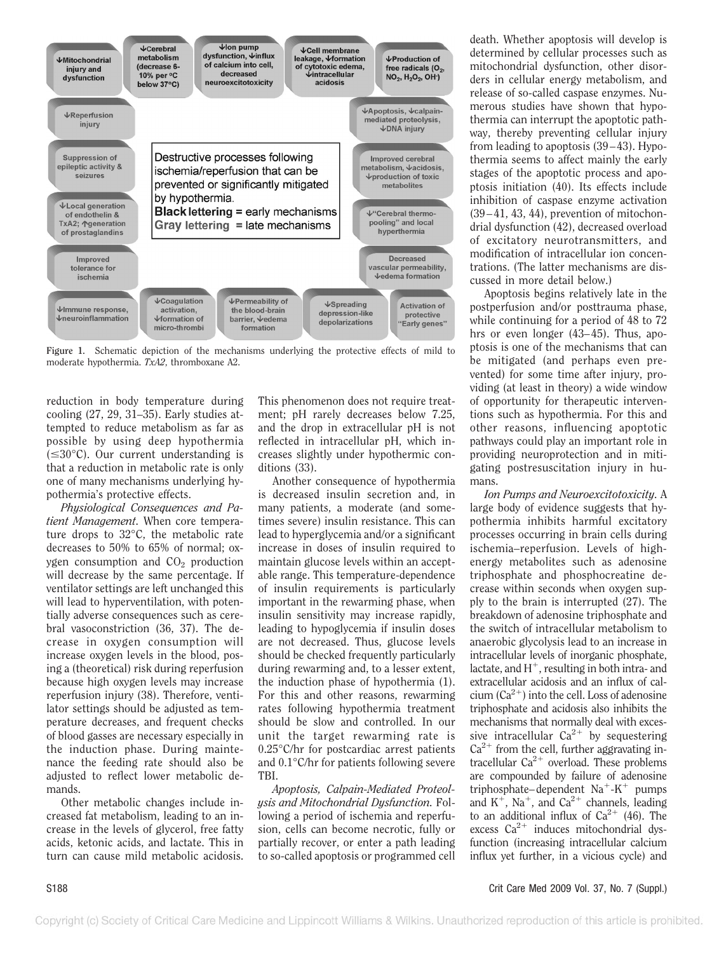

Figure 1. Schematic depiction of the mechanisms underlying the protective effects of mild to moderate hypothermia. *TxA2*, thromboxane A2.

reduction in body temperature during cooling (27, 29, 31–35). Early studies attempted to reduce metabolism as far as possible by using deep hypothermia  $(\leq 30^{\circ}C)$ . Our current understanding is that a reduction in metabolic rate is only one of many mechanisms underlying hypothermia's protective effects.

*Physiological Consequences and Patient Management.* When core temperature drops to 32°C, the metabolic rate decreases to 50% to 65% of normal; oxygen consumption and  $CO<sub>2</sub>$  production will decrease by the same percentage. If ventilator settings are left unchanged this will lead to hyperventilation, with potentially adverse consequences such as cerebral vasoconstriction (36, 37). The decrease in oxygen consumption will increase oxygen levels in the blood, posing a (theoretical) risk during reperfusion because high oxygen levels may increase reperfusion injury (38). Therefore, ventilator settings should be adjusted as temperature decreases, and frequent checks of blood gasses are necessary especially in the induction phase. During maintenance the feeding rate should also be adjusted to reflect lower metabolic demands.

Other metabolic changes include increased fat metabolism, leading to an increase in the levels of glycerol, free fatty acids, ketonic acids, and lactate. This in turn can cause mild metabolic acidosis.

This phenomenon does not require treatment; pH rarely decreases below 7.25, and the drop in extracellular pH is not reflected in intracellular pH, which increases slightly under hypothermic conditions (33).

Another consequence of hypothermia is decreased insulin secretion and, in many patients, a moderate (and sometimes severe) insulin resistance. This can lead to hyperglycemia and/or a significant increase in doses of insulin required to maintain glucose levels within an acceptable range. This temperature-dependence of insulin requirements is particularly important in the rewarming phase, when insulin sensitivity may increase rapidly, leading to hypoglycemia if insulin doses are not decreased. Thus, glucose levels should be checked frequently particularly during rewarming and, to a lesser extent, the induction phase of hypothermia (1). For this and other reasons, rewarming rates following hypothermia treatment should be slow and controlled. In our unit the target rewarming rate is 0.25°C/hr for postcardiac arrest patients and 0.1°C/hr for patients following severe TBI.

*Apoptosis, Calpain-Mediated Proteolysis and Mitochondrial Dysfunction.* Following a period of ischemia and reperfusion, cells can become necrotic, fully or partially recover, or enter a path leading to so-called apoptosis or programmed cell death. Whether apoptosis will develop is determined by cellular processes such as mitochondrial dysfunction, other disorders in cellular energy metabolism, and release of so-called caspase enzymes. Numerous studies have shown that hypothermia can interrupt the apoptotic pathway, thereby preventing cellular injury from leading to apoptosis (39–43). Hypothermia seems to affect mainly the early stages of the apoptotic process and apoptosis initiation (40). Its effects include inhibition of caspase enzyme activation (39–41, 43, 44), prevention of mitochondrial dysfunction (42), decreased overload of excitatory neurotransmitters, and modification of intracellular ion concentrations. (The latter mechanisms are discussed in more detail below.)

Apoptosis begins relatively late in the postperfusion and/or posttrauma phase, while continuing for a period of 48 to 72 hrs or even longer (43–45). Thus, apoptosis is one of the mechanisms that can be mitigated (and perhaps even prevented) for some time after injury, providing (at least in theory) a wide window of opportunity for therapeutic interventions such as hypothermia. For this and other reasons, influencing apoptotic pathways could play an important role in providing neuroprotection and in mitigating postresuscitation injury in humans.

*Ion Pumps and Neuroexcitotoxicity.* A large body of evidence suggests that hypothermia inhibits harmful excitatory processes occurring in brain cells during ischemia–reperfusion. Levels of highenergy metabolites such as adenosine triphosphate and phosphocreatine decrease within seconds when oxygen supply to the brain is interrupted (27). The breakdown of adenosine triphosphate and the switch of intracellular metabolism to anaerobic glycolysis lead to an increase in intracellular levels of inorganic phosphate, lactate, and  $H^+$ , resulting in both intra- and extracellular acidosis and an influx of calcium ( $Ca^{2+}$ ) into the cell. Loss of adenosine triphosphate and acidosis also inhibits the mechanisms that normally deal with excessive intracellular  $Ca^{2+}$  by sequestering  $Ca<sup>2+</sup>$  from the cell, further aggravating intracellular  $Ca^{2+}$  overload. These problems are compounded by failure of adenosine triphosphate–dependent  $Na^+ - K^+$  pumps and  $K^+$ , Na<sup>+</sup>, and Ca<sup>2+</sup> channels, leading to an additional influx of  $Ca^{2+}$  (46). The excess  $Ca^{2+}$  induces mitochondrial dysfunction (increasing intracellular calcium influx yet further, in a vicious cycle) and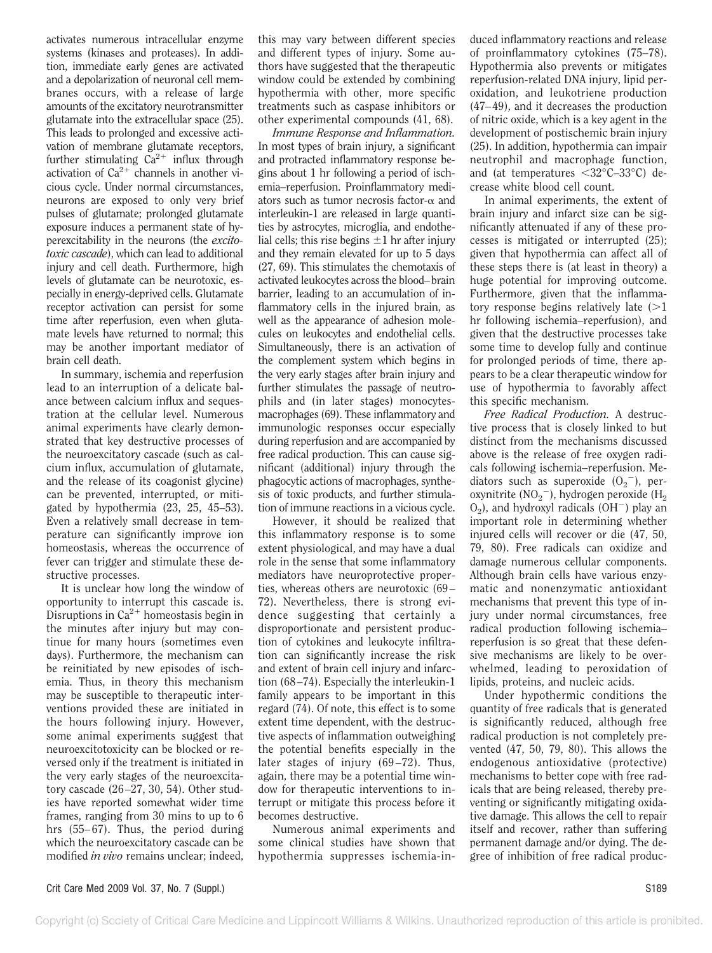activates numerous intracellular enzyme systems (kinases and proteases). In addition, immediate early genes are activated and a depolarization of neuronal cell membranes occurs, with a release of large amounts of the excitatory neurotransmitter glutamate into the extracellular space (25). This leads to prolonged and excessive activation of membrane glutamate receptors, further stimulating  $Ca^{2+}$  influx through activation of  $Ca^{2+}$  channels in another vicious cycle. Under normal circumstances, neurons are exposed to only very brief pulses of glutamate; prolonged glutamate exposure induces a permanent state of hyperexcitability in the neurons (the *excitotoxic cascade*), which can lead to additional injury and cell death. Furthermore, high levels of glutamate can be neurotoxic, especially in energy-deprived cells. Glutamate receptor activation can persist for some time after reperfusion, even when glutamate levels have returned to normal; this may be another important mediator of brain cell death.

In summary, ischemia and reperfusion lead to an interruption of a delicate balance between calcium influx and sequestration at the cellular level. Numerous animal experiments have clearly demonstrated that key destructive processes of the neuroexcitatory cascade (such as calcium influx, accumulation of glutamate, and the release of its coagonist glycine) can be prevented, interrupted, or mitigated by hypothermia (23, 25, 45–53). Even a relatively small decrease in temperature can significantly improve ion homeostasis, whereas the occurrence of fever can trigger and stimulate these destructive processes.

It is unclear how long the window of opportunity to interrupt this cascade is. Disruptions in  $Ca^{2+}$  homeostasis begin in the minutes after injury but may continue for many hours (sometimes even days). Furthermore, the mechanism can be reinitiated by new episodes of ischemia. Thus, in theory this mechanism may be susceptible to therapeutic interventions provided these are initiated in the hours following injury. However, some animal experiments suggest that neuroexcitotoxicity can be blocked or reversed only if the treatment is initiated in the very early stages of the neuroexcitatory cascade (26–27, 30, 54). Other studies have reported somewhat wider time frames, ranging from 30 mins to up to 6 hrs (55–67). Thus, the period during which the neuroexcitatory cascade can be modified *in vivo* remains unclear; indeed,

this may vary between different species and different types of injury. Some authors have suggested that the therapeutic window could be extended by combining hypothermia with other, more specific treatments such as caspase inhibitors or other experimental compounds (41, 68).

*Immune Response and Inflammation.* In most types of brain injury, a significant and protracted inflammatory response begins about 1 hr following a period of ischemia–reperfusion. Proinflammatory mediators such as tumor necrosis factor- $\alpha$  and interleukin-1 are released in large quantities by astrocytes, microglia, and endothelial cells; this rise begins  $\pm 1$  hr after injury and they remain elevated for up to 5 days (27, 69). This stimulates the chemotaxis of activated leukocytes across the blood–brain barrier, leading to an accumulation of inflammatory cells in the injured brain, as well as the appearance of adhesion molecules on leukocytes and endothelial cells. Simultaneously, there is an activation of the complement system which begins in the very early stages after brain injury and further stimulates the passage of neutrophils and (in later stages) monocytesmacrophages (69). These inflammatory and immunologic responses occur especially during reperfusion and are accompanied by free radical production. This can cause significant (additional) injury through the phagocytic actions of macrophages, synthesis of toxic products, and further stimulation of immune reactions in a vicious cycle.

However, it should be realized that this inflammatory response is to some extent physiological, and may have a dual role in the sense that some inflammatory mediators have neuroprotective properties, whereas others are neurotoxic (69– 72). Nevertheless, there is strong evidence suggesting that certainly a disproportionate and persistent production of cytokines and leukocyte infiltration can significantly increase the risk and extent of brain cell injury and infarction (68–74). Especially the interleukin-1 family appears to be important in this regard (74). Of note, this effect is to some extent time dependent, with the destructive aspects of inflammation outweighing the potential benefits especially in the later stages of injury (69–72). Thus, again, there may be a potential time window for therapeutic interventions to interrupt or mitigate this process before it becomes destructive.

Numerous animal experiments and some clinical studies have shown that hypothermia suppresses ischemia-induced inflammatory reactions and release of proinflammatory cytokines (75–78). Hypothermia also prevents or mitigates reperfusion-related DNA injury, lipid peroxidation, and leukotriene production (47–49), and it decreases the production of nitric oxide, which is a key agent in the development of postischemic brain injury (25). In addition, hypothermia can impair neutrophil and macrophage function, and (at temperatures  $\langle 32^{\circ}$ C–33 $^{\circ}$ C) decrease white blood cell count.

In animal experiments, the extent of brain injury and infarct size can be significantly attenuated if any of these processes is mitigated or interrupted (25); given that hypothermia can affect all of these steps there is (at least in theory) a huge potential for improving outcome. Furthermore, given that the inflammatory response begins relatively late  $(>1)$ hr following ischemia–reperfusion), and given that the destructive processes take some time to develop fully and continue for prolonged periods of time, there appears to be a clear therapeutic window for use of hypothermia to favorably affect this specific mechanism.

*Free Radical Production.* A destructive process that is closely linked to but distinct from the mechanisms discussed above is the release of free oxygen radicals following ischemia–reperfusion. Mediators such as superoxide  $(O_2^-)$ , peroxynitrite (NO<sub>2</sub><sup>-</sup>), hydrogen peroxide (H<sub>2</sub>  $O<sub>2</sub>$ ), and hydroxyl radicals (OH<sup>-</sup>) play an important role in determining whether injured cells will recover or die (47, 50, 79, 80). Free radicals can oxidize and damage numerous cellular components. Although brain cells have various enzymatic and nonenzymatic antioxidant mechanisms that prevent this type of injury under normal circumstances, free radical production following ischemia– reperfusion is so great that these defensive mechanisms are likely to be overwhelmed, leading to peroxidation of lipids, proteins, and nucleic acids.

Under hypothermic conditions the quantity of free radicals that is generated is significantly reduced, although free radical production is not completely prevented (47, 50, 79, 80). This allows the endogenous antioxidative (protective) mechanisms to better cope with free radicals that are being released, thereby preventing or significantly mitigating oxidative damage. This allows the cell to repair itself and recover, rather than suffering permanent damage and/or dying. The degree of inhibition of free radical produc-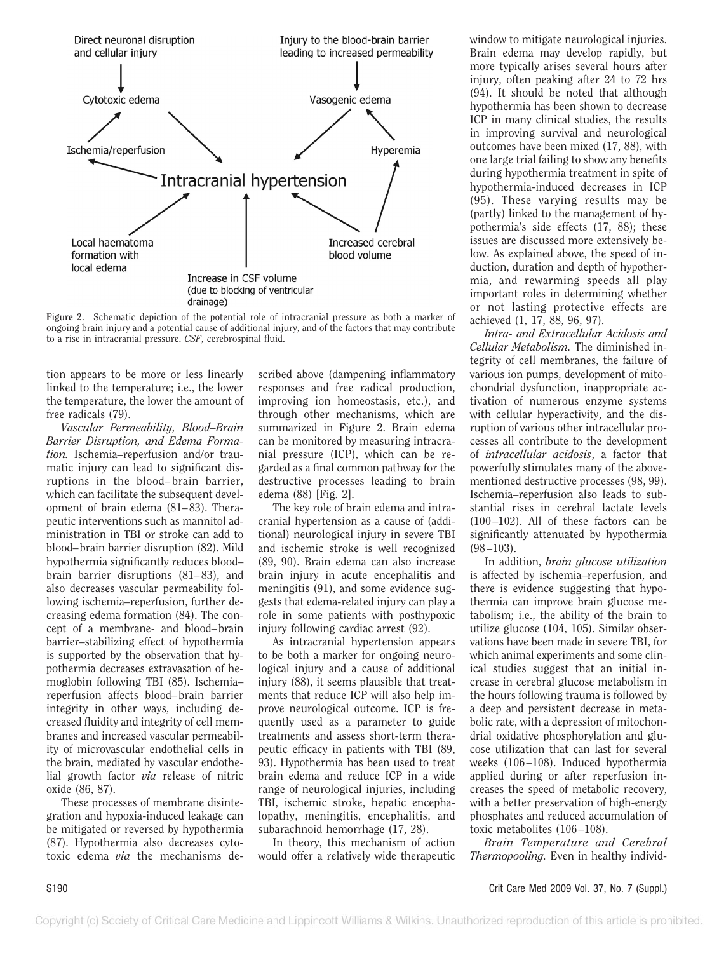

**Figure 2.** Schematic depiction of the potential role of intracranial pressure as both a marker of ongoing brain injury and a potential cause of additional injury, and of the factors that may contribute to a rise in intracranial pressure. *CSF*, cerebrospinal fluid.

tion appears to be more or less linearly linked to the temperature; i.e., the lower the temperature, the lower the amount of free radicals (79).

*Vascular Permeability, Blood–Brain Barrier Disruption, and Edema Formation.* Ischemia–reperfusion and/or traumatic injury can lead to significant disruptions in the blood–brain barrier, which can facilitate the subsequent development of brain edema (81–83). Therapeutic interventions such as mannitol administration in TBI or stroke can add to blood–brain barrier disruption (82). Mild hypothermia significantly reduces blood– brain barrier disruptions (81–83), and also decreases vascular permeability following ischemia–reperfusion, further decreasing edema formation (84). The concept of a membrane- and blood–brain barrier–stabilizing effect of hypothermia is supported by the observation that hypothermia decreases extravasation of hemoglobin following TBI (85). Ischemia– reperfusion affects blood–brain barrier integrity in other ways, including decreased fluidity and integrity of cell membranes and increased vascular permeability of microvascular endothelial cells in the brain, mediated by vascular endothelial growth factor *via* release of nitric oxide (86, 87).

These processes of membrane disintegration and hypoxia-induced leakage can be mitigated or reversed by hypothermia (87). Hypothermia also decreases cytotoxic edema *via* the mechanisms described above (dampening inflammatory responses and free radical production, improving ion homeostasis, etc.), and through other mechanisms, which are summarized in Figure 2. Brain edema can be monitored by measuring intracranial pressure (ICP), which can be regarded as a final common pathway for the destructive processes leading to brain edema (88) [Fig. 2].

The key role of brain edema and intracranial hypertension as a cause of (additional) neurological injury in severe TBI and ischemic stroke is well recognized (89, 90). Brain edema can also increase brain injury in acute encephalitis and meningitis (91), and some evidence suggests that edema-related injury can play a role in some patients with posthypoxic injury following cardiac arrest (92).

As intracranial hypertension appears to be both a marker for ongoing neurological injury and a cause of additional injury (88), it seems plausible that treatments that reduce ICP will also help improve neurological outcome. ICP is frequently used as a parameter to guide treatments and assess short-term therapeutic efficacy in patients with TBI (89, 93). Hypothermia has been used to treat brain edema and reduce ICP in a wide range of neurological injuries, including TBI, ischemic stroke, hepatic encephalopathy, meningitis, encephalitis, and subarachnoid hemorrhage (17, 28).

In theory, this mechanism of action would offer a relatively wide therapeutic

window to mitigate neurological injuries. Brain edema may develop rapidly, but more typically arises several hours after injury, often peaking after 24 to 72 hrs (94). It should be noted that although hypothermia has been shown to decrease ICP in many clinical studies, the results in improving survival and neurological outcomes have been mixed (17, 88), with one large trial failing to show any benefits during hypothermia treatment in spite of hypothermia-induced decreases in ICP (95). These varying results may be (partly) linked to the management of hypothermia's side effects (17, 88); these issues are discussed more extensively below. As explained above, the speed of induction, duration and depth of hypothermia, and rewarming speeds all play important roles in determining whether or not lasting protective effects are achieved (1, 17, 88, 96, 97).

*Intra- and Extracellular Acidosis and Cellular Metabolism.* The diminished integrity of cell membranes, the failure of various ion pumps, development of mitochondrial dysfunction, inappropriate activation of numerous enzyme systems with cellular hyperactivity, and the disruption of various other intracellular processes all contribute to the development of *intracellular acidosis*, a factor that powerfully stimulates many of the abovementioned destructive processes (98, 99). Ischemia–reperfusion also leads to substantial rises in cerebral lactate levels (100–102). All of these factors can be significantly attenuated by hypothermia (98–103).

In addition, *brain glucose utilization* is affected by ischemia–reperfusion, and there is evidence suggesting that hypothermia can improve brain glucose metabolism; i.e., the ability of the brain to utilize glucose (104, 105). Similar observations have been made in severe TBI, for which animal experiments and some clinical studies suggest that an initial increase in cerebral glucose metabolism in the hours following trauma is followed by a deep and persistent decrease in metabolic rate, with a depression of mitochondrial oxidative phosphorylation and glucose utilization that can last for several weeks (106–108). Induced hypothermia applied during or after reperfusion increases the speed of metabolic recovery, with a better preservation of high-energy phosphates and reduced accumulation of toxic metabolites (106–108).

*Brain Temperature and Cerebral Thermopooling.* Even in healthy individ-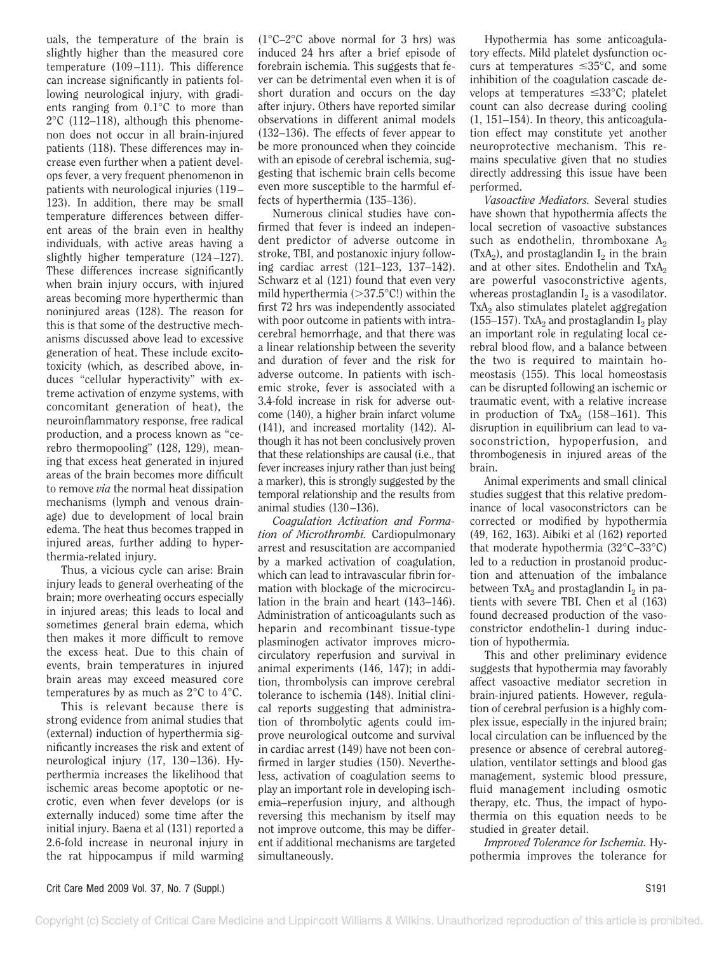uals, the temperature of the brain is slightly higher than the measured core temperature (109–111). This difference can increase significantly in patients following neurological injury, with gradients ranging from 0.1°C to more than 2°C (112–118), although this phenomenon does not occur in all brain-injured patients (118). These differences may increase even further when a patient develops fever, a very frequent phenomenon in patients with neurological injuries (119– 123). In addition, there may be small temperature differences between different areas of the brain even in healthy individuals, with active areas having a slightly higher temperature (124–127). These differences increase significantly when brain injury occurs, with injured areas becoming more hyperthermic than noninjured areas (128). The reason for this is that some of the destructive mechanisms discussed above lead to excessive generation of heat. These include excitotoxicity (which, as described above, induces "cellular hyperactivity" with extreme activation of enzyme systems, with concomitant generation of heat), the neuroinflammatory response, free radical production, and a process known as "cerebro thermopooling" (128, 129), meaning that excess heat generated in injured areas of the brain becomes more difficult to remove *via* the normal heat dissipation mechanisms (lymph and venous drainage) due to development of local brain edema. The heat thus becomes trapped in injured areas, further adding to hyperthermia-related injury.

Thus, a vicious cycle can arise: Brain injury leads to general overheating of the brain; more overheating occurs especially in injured areas; this leads to local and sometimes general brain edema, which then makes it more difficult to remove the excess heat. Due to this chain of events, brain temperatures in injured brain areas may exceed measured core temperatures by as much as 2°C to 4°C.

This is relevant because there is strong evidence from animal studies that (external) induction of hyperthermia significantly increases the risk and extent of neurological injury (17, 130–136). Hyperthermia increases the likelihood that ischemic areas become apoptotic or necrotic, even when fever develops (or is externally induced) some time after the initial injury. Baena et al (131) reported a 2.6-fold increase in neuronal injury in the rat hippocampus if mild warming

(1°C–2°C above normal for 3 hrs) was induced 24 hrs after a brief episode of forebrain ischemia. This suggests that fever can be detrimental even when it is of short duration and occurs on the day after injury. Others have reported similar observations in different animal models (132–136). The effects of fever appear to be more pronounced when they coincide with an episode of cerebral ischemia, suggesting that ischemic brain cells become even more susceptible to the harmful effects of hyperthermia (135–136).

Numerous clinical studies have confirmed that fever is indeed an independent predictor of adverse outcome in stroke, TBI, and postanoxic injury following cardiac arrest (121–123, 137–142). Schwarz et al (121) found that even very mild hyperthermia ( $>37.5$ °C!) within the first 72 hrs was independently associated with poor outcome in patients with intracerebral hemorrhage, and that there was a linear relationship between the severity and duration of fever and the risk for adverse outcome. In patients with ischemic stroke, fever is associated with a 3.4-fold increase in risk for adverse outcome (140), a higher brain infarct volume (141), and increased mortality (142). Although it has not been conclusively proven that these relationships are causal (i.e., that fever increases injury rather than just being a marker), this is strongly suggested by the temporal relationship and the results from animal studies (130–136).

*Coagulation Activation and Formation of Microthrombi.* Cardiopulmonary arrest and resuscitation are accompanied by a marked activation of coagulation, which can lead to intravascular fibrin formation with blockage of the microcirculation in the brain and heart (143–146). Administration of anticoagulants such as heparin and recombinant tissue-type plasminogen activator improves microcirculatory reperfusion and survival in animal experiments (146, 147); in addition, thrombolysis can improve cerebral tolerance to ischemia (148). Initial clinical reports suggesting that administration of thrombolytic agents could improve neurological outcome and survival in cardiac arrest (149) have not been confirmed in larger studies (150). Nevertheless, activation of coagulation seems to play an important role in developing ischemia–reperfusion injury, and although reversing this mechanism by itself may not improve outcome, this may be different if additional mechanisms are targeted simultaneously.

Hypothermia has some anticoagulatory effects. Mild platelet dysfunction occurs at temperatures  $\leq 35^{\circ}$ C, and some inhibition of the coagulation cascade develops at temperatures  $\leq 33^{\circ}$ C; platelet count can also decrease during cooling (1, 151–154). In theory, this anticoagulation effect may constitute yet another neuroprotective mechanism. This remains speculative given that no studies directly addressing this issue have been performed.

*Vasoactive Mediators.* Several studies have shown that hypothermia affects the local secretion of vasoactive substances such as endothelin, thromboxane A<sub>2</sub>  $(TxA<sub>2</sub>)$ , and prostaglandin  $I<sub>2</sub>$  in the brain and at other sites. Endothelin and  $TxA_2$ are powerful vasoconstrictive agents, whereas prostaglandin  $I<sub>2</sub>$  is a vasodilator. TxA<sub>2</sub> also stimulates platelet aggregation (155–157). TxA<sub>2</sub> and prostaglandin  $I_2$  play an important role in regulating local cerebral blood flow, and a balance between the two is required to maintain homeostasis (155). This local homeostasis can be disrupted following an ischemic or traumatic event, with a relative increase in production of  $TxA_2$  (158–161). This disruption in equilibrium can lead to vasoconstriction, hypoperfusion, and thrombogenesis in injured areas of the brain.

Animal experiments and small clinical studies suggest that this relative predominance of local vasoconstrictors can be corrected or modified by hypothermia (49, 162, 163). Aibiki et al (162) reported that moderate hypothermia (32°C–33°C) led to a reduction in prostanoid production and attenuation of the imbalance between  $TxA_2$  and prostaglandin  $I_2$  in patients with severe TBI. Chen et al (163) found decreased production of the vasoconstrictor endothelin-1 during induction of hypothermia.

This and other preliminary evidence suggests that hypothermia may favorably affect vasoactive mediator secretion in brain-injured patients. However, regulation of cerebral perfusion is a highly complex issue, especially in the injured brain; local circulation can be influenced by the presence or absence of cerebral autoregulation, ventilator settings and blood gas management, systemic blood pressure, fluid management including osmotic therapy, etc. Thus, the impact of hypothermia on this equation needs to be studied in greater detail.

*Improved Tolerance for Ischemia.* Hypothermia improves the tolerance for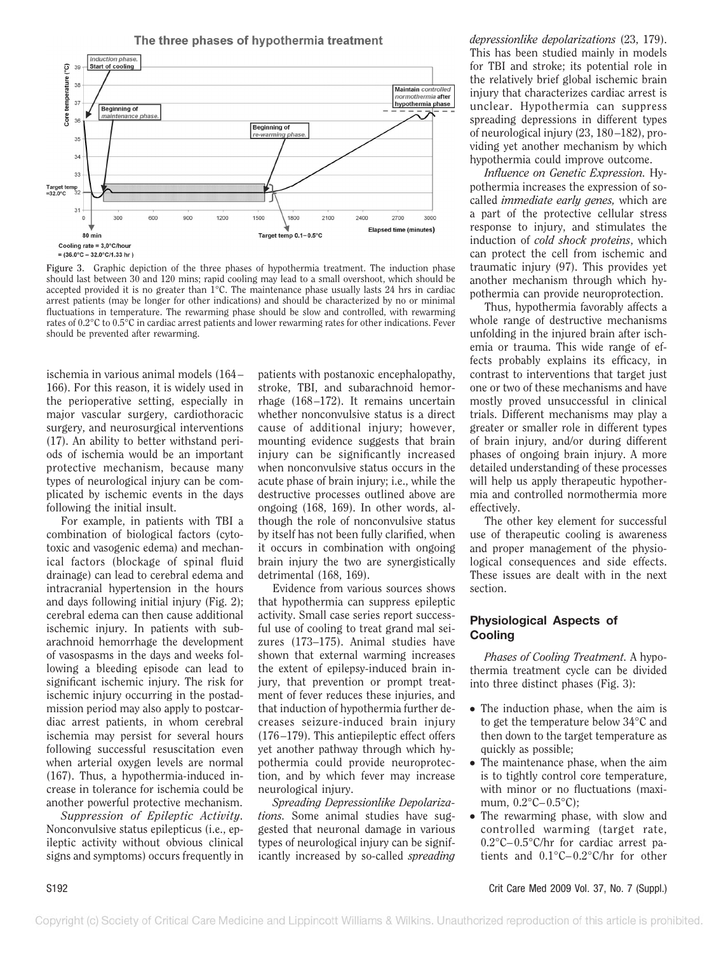The three phases of hypothermia treatment



**Figure 3.** Graphic depiction of the three phases of hypothermia treatment. The induction phase should last between 30 and 120 mins; rapid cooling may lead to a small overshoot, which should be accepted provided it is no greater than  $1^{\circ}$ C. The maintenance phase usually lasts 24 hrs in cardiac arrest patients (may be longer for other indications) and should be characterized by no or minimal fluctuations in temperature. The rewarming phase should be slow and controlled, with rewarming rates of 0.2°C to 0.5°C in cardiac arrest patients and lower rewarming rates for other indications. Fever should be prevented after rewarming.

ischemia in various animal models (164– 166). For this reason, it is widely used in the perioperative setting, especially in major vascular surgery, cardiothoracic surgery, and neurosurgical interventions (17). An ability to better withstand periods of ischemia would be an important protective mechanism, because many types of neurological injury can be complicated by ischemic events in the days following the initial insult.

For example, in patients with TBI a combination of biological factors (cytotoxic and vasogenic edema) and mechanical factors (blockage of spinal fluid drainage) can lead to cerebral edema and intracranial hypertension in the hours and days following initial injury (Fig. 2); cerebral edema can then cause additional ischemic injury. In patients with subarachnoid hemorrhage the development of vasospasms in the days and weeks following a bleeding episode can lead to significant ischemic injury. The risk for ischemic injury occurring in the postadmission period may also apply to postcardiac arrest patients, in whom cerebral ischemia may persist for several hours following successful resuscitation even when arterial oxygen levels are normal (167). Thus, a hypothermia-induced increase in tolerance for ischemia could be another powerful protective mechanism.

*Suppression of Epileptic Activity.* Nonconvulsive status epilepticus (i.e., epileptic activity without obvious clinical signs and symptoms) occurs frequently in

patients with postanoxic encephalopathy, stroke, TBI, and subarachnoid hemorrhage (168–172). It remains uncertain whether nonconvulsive status is a direct cause of additional injury; however, mounting evidence suggests that brain injury can be significantly increased when nonconvulsive status occurs in the acute phase of brain injury; i.e., while the destructive processes outlined above are ongoing (168, 169). In other words, although the role of nonconvulsive status by itself has not been fully clarified, when it occurs in combination with ongoing brain injury the two are synergistically detrimental (168, 169).

Evidence from various sources shows that hypothermia can suppress epileptic activity. Small case series report successful use of cooling to treat grand mal seizures (173–175). Animal studies have shown that external warming increases the extent of epilepsy-induced brain injury, that prevention or prompt treatment of fever reduces these injuries, and that induction of hypothermia further decreases seizure-induced brain injury (176–179). This antiepileptic effect offers yet another pathway through which hypothermia could provide neuroprotection, and by which fever may increase neurological injury.

*Spreading Depressionlike Depolarizations.* Some animal studies have suggested that neuronal damage in various types of neurological injury can be significantly increased by so-called *spreading* *depressionlike depolarizations* (23, 179). This has been studied mainly in models for TBI and stroke; its potential role in the relatively brief global ischemic brain injury that characterizes cardiac arrest is unclear. Hypothermia can suppress spreading depressions in different types of neurological injury (23, 180–182), providing yet another mechanism by which hypothermia could improve outcome.

*Influence on Genetic Expression.* Hypothermia increases the expression of socalled *immediate early genes,* which are a part of the protective cellular stress response to injury, and stimulates the induction of *cold shock proteins*, which can protect the cell from ischemic and traumatic injury (97). This provides yet another mechanism through which hypothermia can provide neuroprotection.

Thus, hypothermia favorably affects a whole range of destructive mechanisms unfolding in the injured brain after ischemia or trauma. This wide range of effects probably explains its efficacy, in contrast to interventions that target just one or two of these mechanisms and have mostly proved unsuccessful in clinical trials. Different mechanisms may play a greater or smaller role in different types of brain injury, and/or during different phases of ongoing brain injury. A more detailed understanding of these processes will help us apply therapeutic hypothermia and controlled normothermia more effectively.

The other key element for successful use of therapeutic cooling is awareness and proper management of the physiological consequences and side effects. These issues are dealt with in the next section.

## **Physiological Aspects of Cooling**

*Phases of Cooling Treatment.* A hypothermia treatment cycle can be divided into three distinct phases (Fig. 3):

- The induction phase, when the aim is to get the temperature below 34°C and then down to the target temperature as quickly as possible;
- The maintenance phase, when the aim is to tightly control core temperature, with minor or no fluctuations (maximum, 0.2°C–0.5°C);
- The rewarming phase, with slow and controlled warming (target rate, 0.2°C–0.5°C/hr for cardiac arrest patients and 0.1°C–0.2°C/hr for other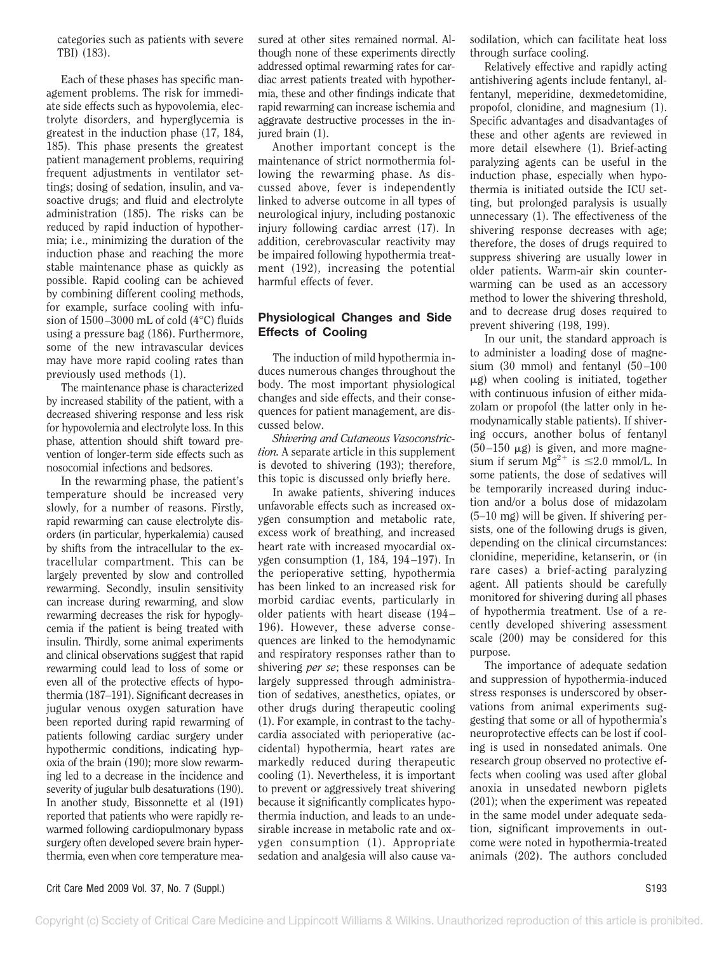categories such as patients with severe TBI) (183).

Each of these phases has specific management problems. The risk for immediate side effects such as hypovolemia, electrolyte disorders, and hyperglycemia is greatest in the induction phase (17, 184, 185). This phase presents the greatest patient management problems, requiring frequent adjustments in ventilator settings; dosing of sedation, insulin, and vasoactive drugs; and fluid and electrolyte administration (185). The risks can be reduced by rapid induction of hypothermia; i.e., minimizing the duration of the induction phase and reaching the more stable maintenance phase as quickly as possible. Rapid cooling can be achieved by combining different cooling methods, for example, surface cooling with infusion of 1500–3000 mL of cold (4°C) fluids using a pressure bag (186). Furthermore, some of the new intravascular devices may have more rapid cooling rates than previously used methods (1).

The maintenance phase is characterized by increased stability of the patient, with a decreased shivering response and less risk for hypovolemia and electrolyte loss. In this phase, attention should shift toward prevention of longer-term side effects such as nosocomial infections and bedsores.

In the rewarming phase, the patient's temperature should be increased very slowly, for a number of reasons. Firstly, rapid rewarming can cause electrolyte disorders (in particular, hyperkalemia) caused by shifts from the intracellular to the extracellular compartment. This can be largely prevented by slow and controlled rewarming. Secondly, insulin sensitivity can increase during rewarming, and slow rewarming decreases the risk for hypoglycemia if the patient is being treated with insulin. Thirdly, some animal experiments and clinical observations suggest that rapid rewarming could lead to loss of some or even all of the protective effects of hypothermia (187–191). Significant decreases in jugular venous oxygen saturation have been reported during rapid rewarming of patients following cardiac surgery under hypothermic conditions, indicating hypoxia of the brain (190); more slow rewarming led to a decrease in the incidence and severity of jugular bulb desaturations (190). In another study, Bissonnette et al (191) reported that patients who were rapidly rewarmed following cardiopulmonary bypass surgery often developed severe brain hyperthermia, even when core temperature measured at other sites remained normal. Although none of these experiments directly addressed optimal rewarming rates for cardiac arrest patients treated with hypothermia, these and other findings indicate that rapid rewarming can increase ischemia and aggravate destructive processes in the injured brain (1).

Another important concept is the maintenance of strict normothermia following the rewarming phase. As discussed above, fever is independently linked to adverse outcome in all types of neurological injury, including postanoxic injury following cardiac arrest (17). In addition, cerebrovascular reactivity may be impaired following hypothermia treatment (192), increasing the potential harmful effects of fever.

### **Physiological Changes and Side Effects of Cooling**

The induction of mild hypothermia induces numerous changes throughout the body. The most important physiological changes and side effects, and their consequences for patient management, are discussed below.

*Shivering and Cutaneous Vasoconstriction.* A separate article in this supplement is devoted to shivering (193); therefore, this topic is discussed only briefly here.

In awake patients, shivering induces unfavorable effects such as increased oxygen consumption and metabolic rate, excess work of breathing, and increased heart rate with increased myocardial oxygen consumption (1, 184, 194–197). In the perioperative setting, hypothermia has been linked to an increased risk for morbid cardiac events, particularly in older patients with heart disease (194– 196). However, these adverse consequences are linked to the hemodynamic and respiratory responses rather than to shivering *per se*; these responses can be largely suppressed through administration of sedatives, anesthetics, opiates, or other drugs during therapeutic cooling (1). For example, in contrast to the tachycardia associated with perioperative (accidental) hypothermia, heart rates are markedly reduced during therapeutic cooling (1). Nevertheless, it is important to prevent or aggressively treat shivering because it significantly complicates hypothermia induction, and leads to an undesirable increase in metabolic rate and oxygen consumption (1). Appropriate sedation and analgesia will also cause va-

sodilation, which can facilitate heat loss through surface cooling.

Relatively effective and rapidly acting antishivering agents include fentanyl, alfentanyl, meperidine, dexmedetomidine, propofol, clonidine, and magnesium (1). Specific advantages and disadvantages of these and other agents are reviewed in more detail elsewhere (1). Brief-acting paralyzing agents can be useful in the induction phase, especially when hypothermia is initiated outside the ICU setting, but prolonged paralysis is usually unnecessary (1). The effectiveness of the shivering response decreases with age; therefore, the doses of drugs required to suppress shivering are usually lower in older patients. Warm-air skin counterwarming can be used as an accessory method to lower the shivering threshold, and to decrease drug doses required to prevent shivering (198, 199).

In our unit, the standard approach is to administer a loading dose of magnesium (30 mmol) and fentanyl (50–100  $\mu$ g) when cooling is initiated, together with continuous infusion of either midazolam or propofol (the latter only in hemodynamically stable patients). If shivering occurs, another bolus of fentanyl  $(50-150 \mu g)$  is given, and more magnesium if serum  $Mg^{2+}$  is  $\leq 2.0$  mmol/L. In some patients, the dose of sedatives will be temporarily increased during induction and/or a bolus dose of midazolam (5–10 mg) will be given. If shivering persists, one of the following drugs is given, depending on the clinical circumstances: clonidine, meperidine, ketanserin, or (in rare cases) a brief-acting paralyzing agent. All patients should be carefully monitored for shivering during all phases of hypothermia treatment. Use of a recently developed shivering assessment scale (200) may be considered for this purpose.

The importance of adequate sedation and suppression of hypothermia-induced stress responses is underscored by observations from animal experiments suggesting that some or all of hypothermia's neuroprotective effects can be lost if cooling is used in nonsedated animals. One research group observed no protective effects when cooling was used after global anoxia in unsedated newborn piglets (201); when the experiment was repeated in the same model under adequate sedation, significant improvements in outcome were noted in hypothermia-treated animals (202). The authors concluded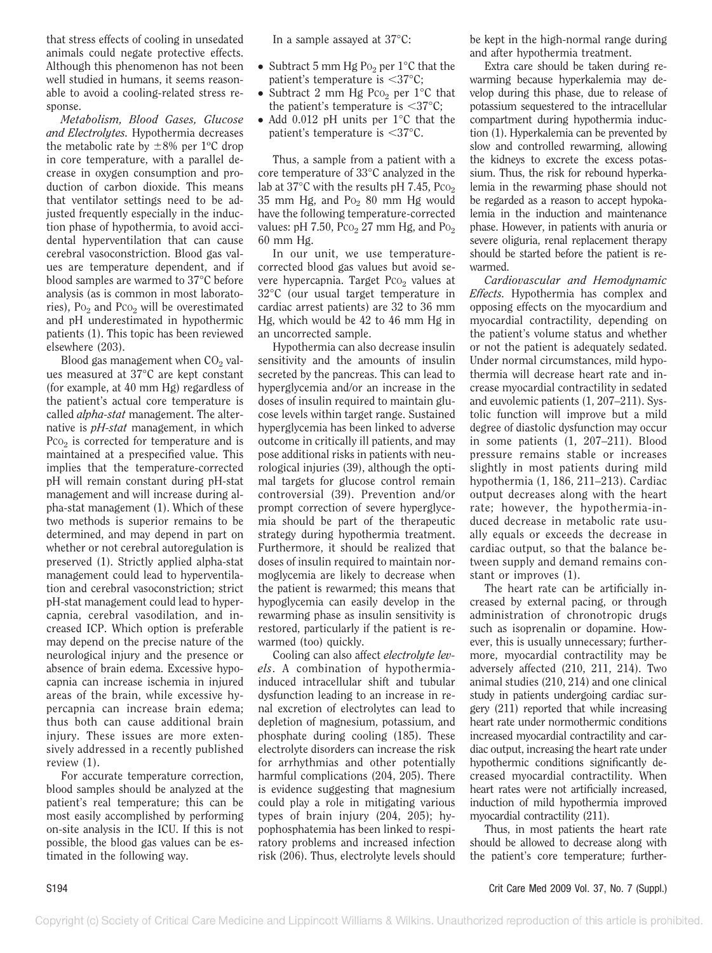that stress effects of cooling in unsedated animals could negate protective effects. Although this phenomenon has not been well studied in humans, it seems reasonable to avoid a cooling-related stress response.

*Metabolism, Blood Gases, Glucose and Electrolytes.* Hypothermia decreases the metabolic rate by  $\pm 8\%$  per 1°C drop in core temperature, with a parallel decrease in oxygen consumption and production of carbon dioxide. This means that ventilator settings need to be adjusted frequently especially in the induction phase of hypothermia, to avoid accidental hyperventilation that can cause cerebral vasoconstriction. Blood gas values are temperature dependent, and if blood samples are warmed to 37°C before analysis (as is common in most laboratories),  $P_0$  and  $P_0$  will be overestimated and pH underestimated in hypothermic patients (1). This topic has been reviewed elsewhere (203).

Blood gas management when  $CO<sub>2</sub>$  values measured at 37°C are kept constant (for example, at 40 mm Hg) regardless of the patient's actual core temperature is called *alpha-stat* management. The alternative is *pH-stat* management, in which Pco<sub>2</sub> is corrected for temperature and is maintained at a prespecified value. This implies that the temperature-corrected pH will remain constant during pH-stat management and will increase during alpha-stat management (1). Which of these two methods is superior remains to be determined, and may depend in part on whether or not cerebral autoregulation is preserved (1). Strictly applied alpha-stat management could lead to hyperventilation and cerebral vasoconstriction; strict pH-stat management could lead to hypercapnia, cerebral vasodilation, and increased ICP. Which option is preferable may depend on the precise nature of the neurological injury and the presence or absence of brain edema. Excessive hypocapnia can increase ischemia in injured areas of the brain, while excessive hypercapnia can increase brain edema; thus both can cause additional brain injury. These issues are more extensively addressed in a recently published review (1).

For accurate temperature correction, blood samples should be analyzed at the patient's real temperature; this can be most easily accomplished by performing on-site analysis in the ICU. If this is not possible, the blood gas values can be estimated in the following way.

In a sample assayed at 37°C:

- Subtract 5 mm Hg P<sub>02</sub> per  $1^{\circ}$ C that the patient's temperature is  $\langle 37°C;$
- Subtract 2 mm Hg Pco<sub>2</sub> per  $1^{\circ}$ C that the patient's temperature is  $\langle 37^{\circ}$ C;
- Add 0.012 pH units per 1°C that the patient's temperature is  $\langle 37°C.$

Thus, a sample from a patient with a core temperature of 33°C analyzed in the lab at 37 $\degree$ C with the results pH 7.45, Pco<sub>2</sub> 35 mm Hg, and  $Po<sub>2</sub>$  80 mm Hg would have the following temperature-corrected values: pH  $7.50$ ,  $PCO<sub>2</sub> 27$  mm Hg, and  $PO<sub>2</sub>$ 60 mm Hg.

In our unit, we use temperaturecorrected blood gas values but avoid severe hypercapnia. Target Pco<sub>2</sub> values at 32°C (our usual target temperature in cardiac arrest patients) are 32 to 36 mm Hg, which would be 42 to 46 mm Hg in an uncorrected sample.

Hypothermia can also decrease insulin sensitivity and the amounts of insulin secreted by the pancreas. This can lead to hyperglycemia and/or an increase in the doses of insulin required to maintain glucose levels within target range. Sustained hyperglycemia has been linked to adverse outcome in critically ill patients, and may pose additional risks in patients with neurological injuries (39), although the optimal targets for glucose control remain controversial (39). Prevention and/or prompt correction of severe hyperglycemia should be part of the therapeutic strategy during hypothermia treatment. Furthermore, it should be realized that doses of insulin required to maintain normoglycemia are likely to decrease when the patient is rewarmed; this means that hypoglycemia can easily develop in the rewarming phase as insulin sensitivity is restored, particularly if the patient is rewarmed (too) quickly.

Cooling can also affect *electrolyte levels*. A combination of hypothermiainduced intracellular shift and tubular dysfunction leading to an increase in renal excretion of electrolytes can lead to depletion of magnesium, potassium, and phosphate during cooling (185). These electrolyte disorders can increase the risk for arrhythmias and other potentially harmful complications (204, 205). There is evidence suggesting that magnesium could play a role in mitigating various types of brain injury (204, 205); hypophosphatemia has been linked to respiratory problems and increased infection risk (206). Thus, electrolyte levels should be kept in the high-normal range during and after hypothermia treatment.

Extra care should be taken during rewarming because hyperkalemia may develop during this phase, due to release of potassium sequestered to the intracellular compartment during hypothermia induction (1). Hyperkalemia can be prevented by slow and controlled rewarming, allowing the kidneys to excrete the excess potassium. Thus, the risk for rebound hyperkalemia in the rewarming phase should not be regarded as a reason to accept hypokalemia in the induction and maintenance phase. However, in patients with anuria or severe oliguria, renal replacement therapy should be started before the patient is rewarmed.

*Cardiovascular and Hemodynamic Effects.* Hypothermia has complex and opposing effects on the myocardium and myocardial contractility, depending on the patient's volume status and whether or not the patient is adequately sedated. Under normal circumstances, mild hypothermia will decrease heart rate and increase myocardial contractility in sedated and euvolemic patients (1, 207–211). Systolic function will improve but a mild degree of diastolic dysfunction may occur in some patients (1, 207–211). Blood pressure remains stable or increases slightly in most patients during mild hypothermia (1, 186, 211–213). Cardiac output decreases along with the heart rate; however, the hypothermia-induced decrease in metabolic rate usually equals or exceeds the decrease in cardiac output, so that the balance between supply and demand remains constant or improves (1).

The heart rate can be artificially increased by external pacing, or through administration of chronotropic drugs such as isoprenalin or dopamine. However, this is usually unnecessary; furthermore, myocardial contractility may be adversely affected (210, 211, 214). Two animal studies (210, 214) and one clinical study in patients undergoing cardiac surgery (211) reported that while increasing heart rate under normothermic conditions increased myocardial contractility and cardiac output, increasing the heart rate under hypothermic conditions significantly decreased myocardial contractility. When heart rates were not artificially increased, induction of mild hypothermia improved myocardial contractility (211).

Thus, in most patients the heart rate should be allowed to decrease along with the patient's core temperature; further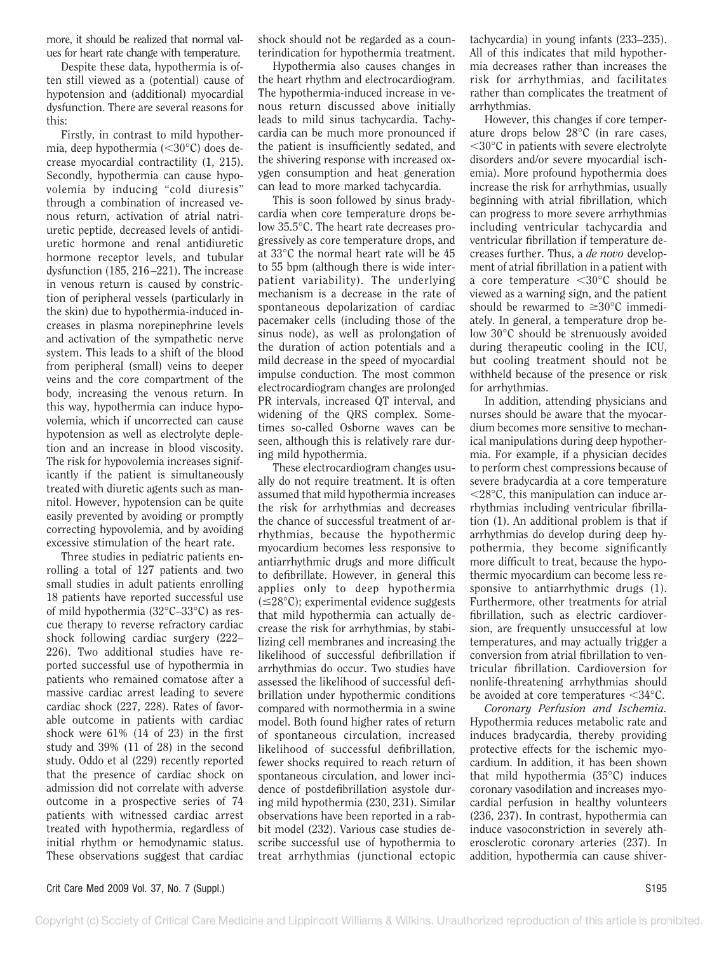more, it should be realized that normal values for heart rate change with temperature.

Despite these data, hypothermia is often still viewed as a (potential) cause of hypotension and (additional) myocardial dysfunction. There are several reasons for this:

Firstly, in contrast to mild hypothermia, deep hypothermia  $(< 30^{\circ}$ C) does decrease myocardial contractility (1, 215). Secondly, hypothermia can cause hypovolemia by inducing "cold diuresis" through a combination of increased venous return, activation of atrial natriuretic peptide, decreased levels of antidiuretic hormone and renal antidiuretic hormone receptor levels, and tubular dysfunction (185, 216–221). The increase in venous return is caused by constriction of peripheral vessels (particularly in the skin) due to hypothermia-induced increases in plasma norepinephrine levels and activation of the sympathetic nerve system. This leads to a shift of the blood from peripheral (small) veins to deeper veins and the core compartment of the body, increasing the venous return. In this way, hypothermia can induce hypovolemia, which if uncorrected can cause hypotension as well as electrolyte depletion and an increase in blood viscosity. The risk for hypovolemia increases significantly if the patient is simultaneously treated with diuretic agents such as mannitol. However, hypotension can be quite easily prevented by avoiding or promptly correcting hypovolemia, and by avoiding excessive stimulation of the heart rate.

Three studies in pediatric patients enrolling a total of 127 patients and two small studies in adult patients enrolling 18 patients have reported successful use of mild hypothermia (32°C–33°C) as rescue therapy to reverse refractory cardiac shock following cardiac surgery (222– 226). Two additional studies have reported successful use of hypothermia in patients who remained comatose after a massive cardiac arrest leading to severe cardiac shock (227, 228). Rates of favorable outcome in patients with cardiac shock were 61% (14 of 23) in the first study and 39% (11 of 28) in the second study. Oddo et al (229) recently reported that the presence of cardiac shock on admission did not correlate with adverse outcome in a prospective series of 74 patients with witnessed cardiac arrest treated with hypothermia, regardless of initial rhythm or hemodynamic status. These observations suggest that cardiac shock should not be regarded as a counterindication for hypothermia treatment.

Hypothermia also causes changes in the heart rhythm and electrocardiogram. The hypothermia-induced increase in venous return discussed above initially leads to mild sinus tachycardia. Tachycardia can be much more pronounced if the patient is insufficiently sedated, and the shivering response with increased oxygen consumption and heat generation can lead to more marked tachycardia.

This is soon followed by sinus bradycardia when core temperature drops below 35.5°C. The heart rate decreases progressively as core temperature drops, and at 33°C the normal heart rate will be 45 to 55 bpm (although there is wide interpatient variability). The underlying mechanism is a decrease in the rate of spontaneous depolarization of cardiac pacemaker cells (including those of the sinus node), as well as prolongation of the duration of action potentials and a mild decrease in the speed of myocardial impulse conduction. The most common electrocardiogram changes are prolonged PR intervals, increased QT interval, and widening of the QRS complex. Sometimes so-called Osborne waves can be seen, although this is relatively rare during mild hypothermia.

These electrocardiogram changes usually do not require treatment. It is often assumed that mild hypothermia increases the risk for arrhythmias and decreases the chance of successful treatment of arrhythmias, because the hypothermic myocardium becomes less responsive to antiarrhythmic drugs and more difficult to defibrillate. However, in general this applies only to deep hypothermia  $(\leq 28^{\circ}C)$ ; experimental evidence suggests that mild hypothermia can actually decrease the risk for arrhythmias, by stabilizing cell membranes and increasing the likelihood of successful defibrillation if arrhythmias do occur. Two studies have assessed the likelihood of successful defibrillation under hypothermic conditions compared with normothermia in a swine model. Both found higher rates of return of spontaneous circulation, increased likelihood of successful defibrillation, fewer shocks required to reach return of spontaneous circulation, and lower incidence of postdefibrillation asystole during mild hypothermia (230, 231). Similar observations have been reported in a rabbit model (232). Various case studies describe successful use of hypothermia to treat arrhythmias (junctional ectopic

tachycardia) in young infants (233–235). All of this indicates that mild hypothermia decreases rather than increases the risk for arrhythmias, and facilitates rather than complicates the treatment of arrhythmias.

However, this changes if core temperature drops below 28°C (in rare cases, 30°C in patients with severe electrolyte disorders and/or severe myocardial ischemia). More profound hypothermia does increase the risk for arrhythmias, usually beginning with atrial fibrillation, which can progress to more severe arrhythmias including ventricular tachycardia and ventricular fibrillation if temperature decreases further. Thus, a *de novo* development of atrial fibrillation in a patient with a core temperature 30°C should be viewed as a warning sign, and the patient should be rewarmed to  $\geq 30^{\circ}$ C immediately. In general, a temperature drop below 30°C should be strenuously avoided during therapeutic cooling in the ICU, but cooling treatment should not be withheld because of the presence or risk for arrhythmias.

In addition, attending physicians and nurses should be aware that the myocardium becomes more sensitive to mechanical manipulations during deep hypothermia. For example, if a physician decides to perform chest compressions because of severe bradycardia at a core temperature  $\langle 28^\circ \text{C}$ , this manipulation can induce arrhythmias including ventricular fibrillation (1). An additional problem is that if arrhythmias do develop during deep hypothermia, they become significantly more difficult to treat, because the hypothermic myocardium can become less responsive to antiarrhythmic drugs (1). Furthermore, other treatments for atrial fibrillation, such as electric cardioversion, are frequently unsuccessful at low temperatures, and may actually trigger a conversion from atrial fibrillation to ventricular fibrillation. Cardioversion for nonlife-threatening arrhythmias should be avoided at core temperatures  $\langle 34^\circ \text{C} \rangle$ .

*Coronary Perfusion and Ischemia.* Hypothermia reduces metabolic rate and induces bradycardia, thereby providing protective effects for the ischemic myocardium. In addition, it has been shown that mild hypothermia (35°C) induces coronary vasodilation and increases myocardial perfusion in healthy volunteers (236, 237). In contrast, hypothermia can induce vasoconstriction in severely atherosclerotic coronary arteries (237). In addition, hypothermia can cause shiver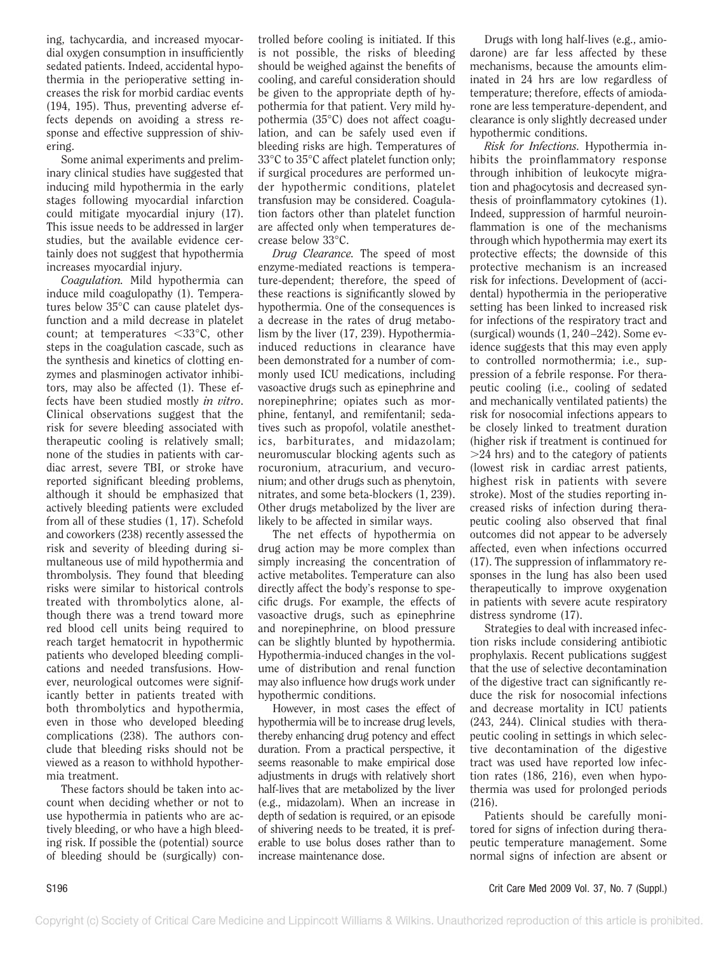ing, tachycardia, and increased myocardial oxygen consumption in insufficiently sedated patients. Indeed, accidental hypothermia in the perioperative setting increases the risk for morbid cardiac events (194, 195). Thus, preventing adverse effects depends on avoiding a stress response and effective suppression of shivering.

Some animal experiments and preliminary clinical studies have suggested that inducing mild hypothermia in the early stages following myocardial infarction could mitigate myocardial injury (17). This issue needs to be addressed in larger studies, but the available evidence certainly does not suggest that hypothermia increases myocardial injury.

*Coagulation.* Mild hypothermia can induce mild coagulopathy (1). Temperatures below 35°C can cause platelet dysfunction and a mild decrease in platelet count; at temperatures  $\langle 33^{\circ}$ C, other steps in the coagulation cascade, such as the synthesis and kinetics of clotting enzymes and plasminogen activator inhibitors, may also be affected (1). These effects have been studied mostly *in vitro*. Clinical observations suggest that the risk for severe bleeding associated with therapeutic cooling is relatively small; none of the studies in patients with cardiac arrest, severe TBI, or stroke have reported significant bleeding problems, although it should be emphasized that actively bleeding patients were excluded from all of these studies (1, 17). Schefold and coworkers (238) recently assessed the risk and severity of bleeding during simultaneous use of mild hypothermia and thrombolysis. They found that bleeding risks were similar to historical controls treated with thrombolytics alone, although there was a trend toward more red blood cell units being required to reach target hematocrit in hypothermic patients who developed bleeding complications and needed transfusions. However, neurological outcomes were significantly better in patients treated with both thrombolytics and hypothermia, even in those who developed bleeding complications (238). The authors conclude that bleeding risks should not be viewed as a reason to withhold hypothermia treatment.

These factors should be taken into account when deciding whether or not to use hypothermia in patients who are actively bleeding, or who have a high bleeding risk. If possible the (potential) source of bleeding should be (surgically) con-

trolled before cooling is initiated. If this is not possible, the risks of bleeding should be weighed against the benefits of cooling, and careful consideration should be given to the appropriate depth of hypothermia for that patient. Very mild hypothermia (35°C) does not affect coagulation, and can be safely used even if bleeding risks are high. Temperatures of 33°C to 35°C affect platelet function only; if surgical procedures are performed under hypothermic conditions, platelet transfusion may be considered. Coagulation factors other than platelet function are affected only when temperatures decrease below 33°C.

*Drug Clearance.* The speed of most enzyme-mediated reactions is temperature-dependent; therefore, the speed of these reactions is significantly slowed by hypothermia. One of the consequences is a decrease in the rates of drug metabolism by the liver (17, 239). Hypothermiainduced reductions in clearance have been demonstrated for a number of commonly used ICU medications, including vasoactive drugs such as epinephrine and norepinephrine; opiates such as morphine, fentanyl, and remifentanil; sedatives such as propofol, volatile anesthetics, barbiturates, and midazolam; neuromuscular blocking agents such as rocuronium, atracurium, and vecuronium; and other drugs such as phenytoin, nitrates, and some beta-blockers (1, 239). Other drugs metabolized by the liver are likely to be affected in similar ways.

The net effects of hypothermia on drug action may be more complex than simply increasing the concentration of active metabolites. Temperature can also directly affect the body's response to specific drugs. For example, the effects of vasoactive drugs, such as epinephrine and norepinephrine, on blood pressure can be slightly blunted by hypothermia. Hypothermia-induced changes in the volume of distribution and renal function may also influence how drugs work under hypothermic conditions.

However, in most cases the effect of hypothermia will be to increase drug levels, thereby enhancing drug potency and effect duration. From a practical perspective, it seems reasonable to make empirical dose adjustments in drugs with relatively short half-lives that are metabolized by the liver (e.g., midazolam). When an increase in depth of sedation is required, or an episode of shivering needs to be treated, it is preferable to use bolus doses rather than to increase maintenance dose.

Drugs with long half-lives (e.g., amiodarone) are far less affected by these mechanisms, because the amounts eliminated in 24 hrs are low regardless of temperature; therefore, effects of amiodarone are less temperature-dependent, and clearance is only slightly decreased under hypothermic conditions.

*Risk for Infections.* Hypothermia inhibits the proinflammatory response through inhibition of leukocyte migration and phagocytosis and decreased synthesis of proinflammatory cytokines (1). Indeed, suppression of harmful neuroinflammation is one of the mechanisms through which hypothermia may exert its protective effects; the downside of this protective mechanism is an increased risk for infections. Development of (accidental) hypothermia in the perioperative setting has been linked to increased risk for infections of the respiratory tract and (surgical) wounds (1, 240–242). Some evidence suggests that this may even apply to controlled normothermia; i.e., suppression of a febrile response. For therapeutic cooling (i.e., cooling of sedated and mechanically ventilated patients) the risk for nosocomial infections appears to be closely linked to treatment duration (higher risk if treatment is continued for  $>$ 24 hrs) and to the category of patients (lowest risk in cardiac arrest patients, highest risk in patients with severe stroke). Most of the studies reporting increased risks of infection during therapeutic cooling also observed that final outcomes did not appear to be adversely affected, even when infections occurred (17). The suppression of inflammatory responses in the lung has also been used therapeutically to improve oxygenation in patients with severe acute respiratory distress syndrome (17).

Strategies to deal with increased infection risks include considering antibiotic prophylaxis. Recent publications suggest that the use of selective decontamination of the digestive tract can significantly reduce the risk for nosocomial infections and decrease mortality in ICU patients (243, 244). Clinical studies with therapeutic cooling in settings in which selective decontamination of the digestive tract was used have reported low infection rates (186, 216), even when hypothermia was used for prolonged periods (216).

Patients should be carefully monitored for signs of infection during therapeutic temperature management. Some normal signs of infection are absent or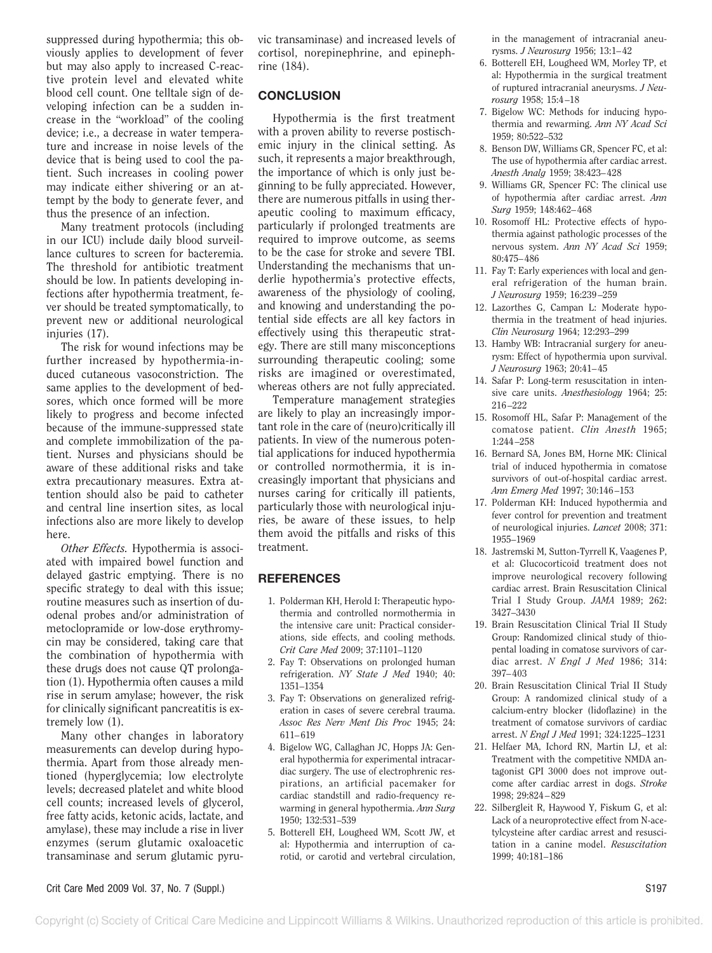suppressed during hypothermia; this obviously applies to development of fever but may also apply to increased C-reactive protein level and elevated white blood cell count. One telltale sign of developing infection can be a sudden increase in the "workload" of the cooling device; i.e., a decrease in water temperature and increase in noise levels of the device that is being used to cool the patient. Such increases in cooling power may indicate either shivering or an attempt by the body to generate fever, and thus the presence of an infection.

Many treatment protocols (including in our ICU) include daily blood surveillance cultures to screen for bacteremia. The threshold for antibiotic treatment should be low. In patients developing infections after hypothermia treatment, fever should be treated symptomatically, to prevent new or additional neurological injuries (17).

The risk for wound infections may be further increased by hypothermia-induced cutaneous vasoconstriction. The same applies to the development of bedsores, which once formed will be more likely to progress and become infected because of the immune-suppressed state and complete immobilization of the patient. Nurses and physicians should be aware of these additional risks and take extra precautionary measures. Extra attention should also be paid to catheter and central line insertion sites, as local infections also are more likely to develop here.

*Other Effects.* Hypothermia is associated with impaired bowel function and delayed gastric emptying. There is no specific strategy to deal with this issue; routine measures such as insertion of duodenal probes and/or administration of metoclopramide or low-dose erythromycin may be considered, taking care that the combination of hypothermia with these drugs does not cause QT prolongation (1). Hypothermia often causes a mild rise in serum amylase; however, the risk for clinically significant pancreatitis is extremely low (1).

Many other changes in laboratory measurements can develop during hypothermia. Apart from those already mentioned (hyperglycemia; low electrolyte levels; decreased platelet and white blood cell counts; increased levels of glycerol, free fatty acids, ketonic acids, lactate, and amylase), these may include a rise in liver enzymes (serum glutamic oxaloacetic transaminase and serum glutamic pyruvic transaminase) and increased levels of cortisol, norepinephrine, and epinephrine (184).

## **CONCLUSION**

Hypothermia is the first treatment with a proven ability to reverse postischemic injury in the clinical setting. As such, it represents a major breakthrough, the importance of which is only just beginning to be fully appreciated. However, there are numerous pitfalls in using therapeutic cooling to maximum efficacy, particularly if prolonged treatments are required to improve outcome, as seems to be the case for stroke and severe TBI. Understanding the mechanisms that underlie hypothermia's protective effects, awareness of the physiology of cooling, and knowing and understanding the potential side effects are all key factors in effectively using this therapeutic strategy. There are still many misconceptions surrounding therapeutic cooling; some risks are imagined or overestimated, whereas others are not fully appreciated.

Temperature management strategies are likely to play an increasingly important role in the care of (neuro)critically ill patients. In view of the numerous potential applications for induced hypothermia or controlled normothermia, it is increasingly important that physicians and nurses caring for critically ill patients, particularly those with neurological injuries, be aware of these issues, to help them avoid the pitfalls and risks of this treatment.

#### **REFERENCES**

- 1. Polderman KH, Herold I: Therapeutic hypothermia and controlled normothermia in the intensive care unit: Practical considerations, side effects, and cooling methods. *Crit Care Med* 2009; 37:1101–1120
- 2. Fay T: Observations on prolonged human refrigeration. *NY State J Med* 1940; 40: 1351–1354
- 3. Fay T: Observations on generalized refrigeration in cases of severe cerebral trauma. *Assoc Res Nerv Ment Dis Proc* 1945; 24: 611–619
- 4. Bigelow WG, Callaghan JC, Hopps JA: General hypothermia for experimental intracardiac surgery. The use of electrophrenic respirations, an artificial pacemaker for cardiac standstill and radio-frequency rewarming in general hypothermia. *Ann Surg* 1950; 132:531–539
- 5. Botterell EH, Lougheed WM, Scott JW, et al: Hypothermia and interruption of carotid, or carotid and vertebral circulation,

in the management of intracranial aneurysms. *J Neurosurg* 1956; 13:1–42

- 6. Botterell EH, Lougheed WM, Morley TP, et al: Hypothermia in the surgical treatment of ruptured intracranial aneurysms. *J Neurosurg* 1958; 15:4–18
- 7. Bigelow WC: Methods for inducing hypothermia and rewarming. *Ann NY Acad Sci* 1959; 80:522–532
- 8. Benson DW, Williams GR, Spencer FC, et al: The use of hypothermia after cardiac arrest. *Anesth Analg* 1959; 38:423–428
- 9. Williams GR, Spencer FC: The clinical use of hypothermia after cardiac arrest. *Ann Surg* 1959; 148:462–468
- 10. Rosomoff HL: Protective effects of hypothermia against pathologic processes of the nervous system. *Ann NY Acad Sci* 1959; 80:475–486
- 11. Fay T: Early experiences with local and general refrigeration of the human brain. *J Neurosurg* 1959; 16:239–259
- 12. Lazorthes G, Campan L: Moderate hypothermia in the treatment of head injuries. *Clin Neurosurg* 1964; 12:293–299
- 13. Hamby WB: Intracranial surgery for aneurysm: Effect of hypothermia upon survival. *J Neurosurg* 1963; 20:41–45
- 14. Safar P: Long-term resuscitation in intensive care units. *Anesthesiology* 1964; 25: 216–222
- 15. Rosomoff HL, Safar P: Management of the comatose patient. *Clin Anesth* 1965; 1:244–258
- 16. Bernard SA, Jones BM, Horne MK: Clinical trial of induced hypothermia in comatose survivors of out-of-hospital cardiac arrest. *Ann Emerg Med* 1997; 30:146–153
- 17. Polderman KH: Induced hypothermia and fever control for prevention and treatment of neurological injuries. *Lancet* 2008; 371: 1955–1969
- 18. Jastremski M, Sutton-Tyrrell K, Vaagenes P, et al: Glucocorticoid treatment does not improve neurological recovery following cardiac arrest. Brain Resuscitation Clinical Trial I Study Group. *JAMA* 1989; 262: 3427–3430
- 19. Brain Resuscitation Clinical Trial II Study Group: Randomized clinical study of thiopental loading in comatose survivors of cardiac arrest. *N Engl J Med* 1986; 314: 397–403
- 20. Brain Resuscitation Clinical Trial II Study Group: A randomized clinical study of a calcium-entry blocker (lidoflazine) in the treatment of comatose survivors of cardiac arrest. *N Engl J Med* 1991; 324:1225–1231
- 21. Helfaer MA, Ichord RN, Martin LJ, et al: Treatment with the competitive NMDA antagonist GPI 3000 does not improve outcome after cardiac arrest in dogs. *Stroke* 1998; 29:824–829
- 22. Silbergleit R, Haywood Y, Fiskum G, et al: Lack of a neuroprotective effect from N-acetylcysteine after cardiac arrest and resuscitation in a canine model. *Resuscitation* 1999; 40:181–186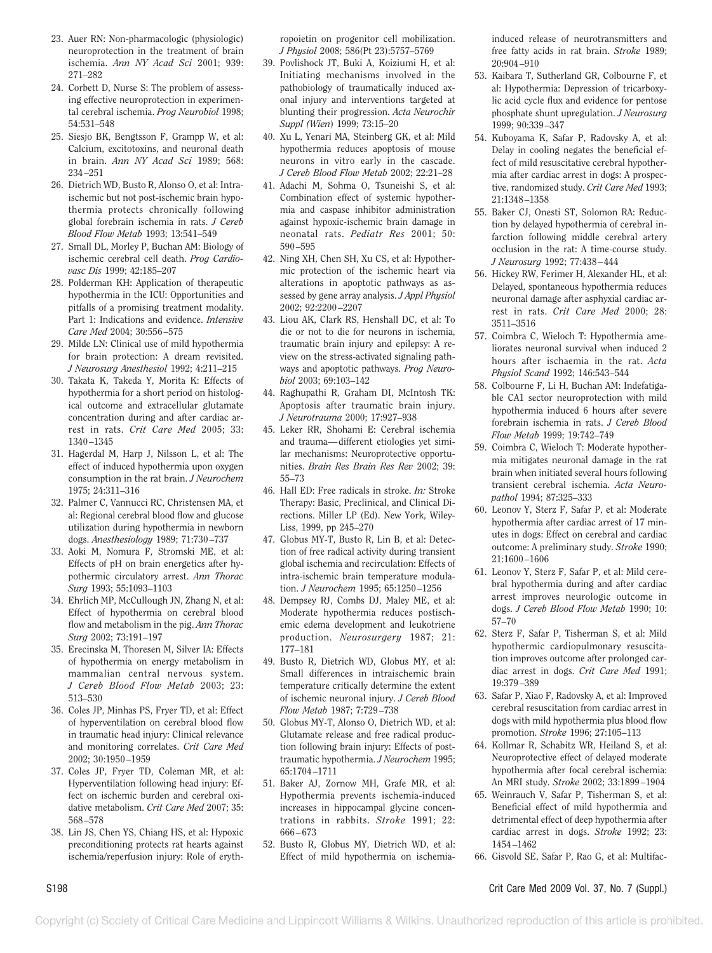- 23. Auer RN: Non-pharmacologic (physiologic) neuroprotection in the treatment of brain ischemia. *Ann NY Acad Sci* 2001; 939: 271–282
- 24. Corbett D, Nurse S: The problem of assessing effective neuroprotection in experimental cerebral ischemia. *Prog Neurobiol* 1998; 54:531–548
- 25. Siesjo BK, Bengtsson F, Grampp W, et al: Calcium, excitotoxins, and neuronal death in brain. *Ann NY Acad Sci* 1989; 568: 234–251
- 26. Dietrich WD, Busto R, Alonso O, et al: Intraischemic but not post-ischemic brain hypothermia protects chronically following global forebrain ischemia in rats. *J Cereb Blood Flow Metab* 1993; 13:541–549
- 27. Small DL, Morley P, Buchan AM: Biology of ischemic cerebral cell death. *Prog Cardiovasc Dis* 1999; 42:185–207
- 28. Polderman KH: Application of therapeutic hypothermia in the ICU: Opportunities and pitfalls of a promising treatment modality. Part 1: Indications and evidence. *Intensive Care Med* 2004; 30:556–575
- 29. Milde LN: Clinical use of mild hypothermia for brain protection: A dream revisited. *J Neurosurg Anesthesiol* 1992; 4:211–215
- 30. Takata K, Takeda Y, Morita K: Effects of hypothermia for a short period on histological outcome and extracellular glutamate concentration during and after cardiac arrest in rats. *Crit Care Med* 2005; 33: 1340–1345
- 31. Hagerdal M, Harp J, Nilsson L, et al: The effect of induced hypothermia upon oxygen consumption in the rat brain. *J Neurochem* 1975; 24:311–316
- 32. Palmer C, Vannucci RC, Christensen MA, et al: Regional cerebral blood flow and glucose utilization during hypothermia in newborn dogs. *Anesthesiology* 1989; 71:730–737
- 33. Aoki M, Nomura F, Stromski ME, et al: Effects of pH on brain energetics after hypothermic circulatory arrest. *Ann Thorac Surg* 1993; 55:1093–1103
- 34. Ehrlich MP, McCullough JN, Zhang N, et al: Effect of hypothermia on cerebral blood flow and metabolism in the pig. *Ann Thorac Surg* 2002; 73:191–197
- 35. Erecinska M, Thoresen M, Silver IA: Effects of hypothermia on energy metabolism in mammalian central nervous system. *J Cereb Blood Flow Metab* 2003; 23: 513–530
- 36. Coles JP, Minhas PS, Fryer TD, et al: Effect of hyperventilation on cerebral blood flow in traumatic head injury: Clinical relevance and monitoring correlates. *Crit Care Med* 2002; 30:1950–1959
- 37. Coles JP, Fryer TD, Coleman MR, et al: Hyperventilation following head injury: Effect on ischemic burden and cerebral oxidative metabolism. *Crit Care Med* 2007; 35: 568–578
- 38. Lin JS, Chen YS, Chiang HS, et al: Hypoxic preconditioning protects rat hearts against ischemia/reperfusion injury: Role of eryth-

ropoietin on progenitor cell mobilization. *J Physiol* 2008; 586(Pt 23):5757–5769

- 39. Povlishock JT, Buki A, Koiziumi H, et al: Initiating mechanisms involved in the pathobiology of traumatically induced axonal injury and interventions targeted at blunting their progression. *Acta Neurochir Suppl (Wien*) 1999; 73:15–20
- 40. Xu L, Yenari MA, Steinberg GK, et al: Mild hypothermia reduces apoptosis of mouse neurons in vitro early in the cascade. *J Cereb Blood Flow Metab* 2002; 22:21–28
- 41. Adachi M, Sohma O, Tsuneishi S, et al: Combination effect of systemic hypothermia and caspase inhibitor administration against hypoxic-ischemic brain damage in neonatal rats. *Pediatr Res* 2001; 50: 590–595
- 42. Ning XH, Chen SH, Xu CS, et al: Hypothermic protection of the ischemic heart via alterations in apoptotic pathways as assessed by gene array analysis. *J Appl Physiol* 2002; 92:2200–2207
- 43. Liou AK, Clark RS, Henshall DC, et al: To die or not to die for neurons in ischemia, traumatic brain injury and epilepsy: A review on the stress-activated signaling pathways and apoptotic pathways. *Prog Neurobiol* 2003; 69:103–142
- 44. Raghupathi R, Graham DI, McIntosh TK: Apoptosis after traumatic brain injury. *J Neurotrauma* 2000; 17:927–938
- 45. Leker RR, Shohami E: Cerebral ischemia and trauma—different etiologies yet similar mechanisms: Neuroprotective opportunities. *Brain Res Brain Res Rev* 2002; 39: 55–73
- 46. Hall ED: Free radicals in stroke. *In:* Stroke Therapy: Basic, Preclinical, and Clinical Directions. Miller LP (Ed). New York, Wiley-Liss, 1999, pp 245–270
- 47. Globus MY-T, Busto R, Lin B, et al: Detection of free radical activity during transient global ischemia and recirculation: Effects of intra-ischemic brain temperature modulation. *J Neurochem* 1995; 65:1250–1256
- 48. Dempsey RJ, Combs DJ, Maley ME, et al: Moderate hypothermia reduces postischemic edema development and leukotriene production. *Neurosurgery* 1987; 21: 177–181
- 49. Busto R, Dietrich WD, Globus MY, et al: Small differences in intraischemic brain temperature critically determine the extent of ischemic neuronal injury. *J Cereb Blood Flow Metab* 1987; 7:729–738
- 50. Globus MY-T, Alonso O, Dietrich WD, et al: Glutamate release and free radical production following brain injury: Effects of posttraumatic hypothermia. *J Neurochem* 1995; 65:1704–1711
- 51. Baker AJ, Zornow MH, Grafe MR, et al: Hypothermia prevents ischemia-induced increases in hippocampal glycine concentrations in rabbits. *Stroke* 1991; 22: 666–673
- 52. Busto R, Globus MY, Dietrich WD, et al: Effect of mild hypothermia on ischemia-

induced release of neurotransmitters and free fatty acids in rat brain. *Stroke* 1989; 20:904–910

- 53. Kaibara T, Sutherland GR, Colbourne F, et al: Hypothermia: Depression of tricarboxylic acid cycle flux and evidence for pentose phosphate shunt upregulation. *J Neurosurg* 1999; 90:339–347
- 54. Kuboyama K, Safar P, Radovsky A, et al: Delay in cooling negates the beneficial effect of mild resuscitative cerebral hypothermia after cardiac arrest in dogs: A prospective, randomized study. *Crit Care Med* 1993; 21:1348–1358
- 55. Baker CJ, Onesti ST, Solomon RA: Reduction by delayed hypothermia of cerebral infarction following middle cerebral artery occlusion in the rat: A time-course study. *J Neurosurg* 1992; 77:438–444
- 56. Hickey RW, Ferimer H, Alexander HL, et al: Delayed, spontaneous hypothermia reduces neuronal damage after asphyxial cardiac arrest in rats. *Crit Care Med* 2000; 28: 3511–3516
- 57. Coimbra C, Wieloch T: Hypothermia ameliorates neuronal survival when induced 2 hours after ischaemia in the rat. *Acta Physiol Scand* 1992; 146:543–544
- 58. Colbourne F, Li H, Buchan AM: Indefatigable CA1 sector neuroprotection with mild hypothermia induced 6 hours after severe forebrain ischemia in rats. *J Cereb Blood Flow Metab* 1999; 19:742–749
- 59. Coimbra C, Wieloch T: Moderate hypothermia mitigates neuronal damage in the rat brain when initiated several hours following transient cerebral ischemia. *Acta Neuropathol* 1994; 87:325–333
- 60. Leonov Y, Sterz F, Safar P, et al: Moderate hypothermia after cardiac arrest of 17 minutes in dogs: Effect on cerebral and cardiac outcome: A preliminary study. *Stroke* 1990; 21:1600–1606
- 61. Leonov Y, Sterz F, Safar P, et al: Mild cerebral hypothermia during and after cardiac arrest improves neurologic outcome in dogs. *J Cereb Blood Flow Metab* 1990; 10: 57–70
- 62. Sterz F, Safar P, Tisherman S, et al: Mild hypothermic cardiopulmonary resuscitation improves outcome after prolonged cardiac arrest in dogs. *Crit Care Med* 1991; 19:379–389
- 63. Safar P, Xiao F, Radovsky A, et al: Improved cerebral resuscitation from cardiac arrest in dogs with mild hypothermia plus blood flow promotion. *Stroke* 1996; 27:105–113
- 64. Kollmar R, Schabitz WR, Heiland S, et al: Neuroprotective effect of delayed moderate hypothermia after focal cerebral ischemia: An MRI study. *Stroke* 2002; 33:1899–1904
- 65. Weinrauch V, Safar P, Tisherman S, et al: Beneficial effect of mild hypothermia and detrimental effect of deep hypothermia after cardiac arrest in dogs. *Stroke* 1992; 23: 1454–1462
- 66. Gisvold SE, Safar P, Rao G, et al: Multifac-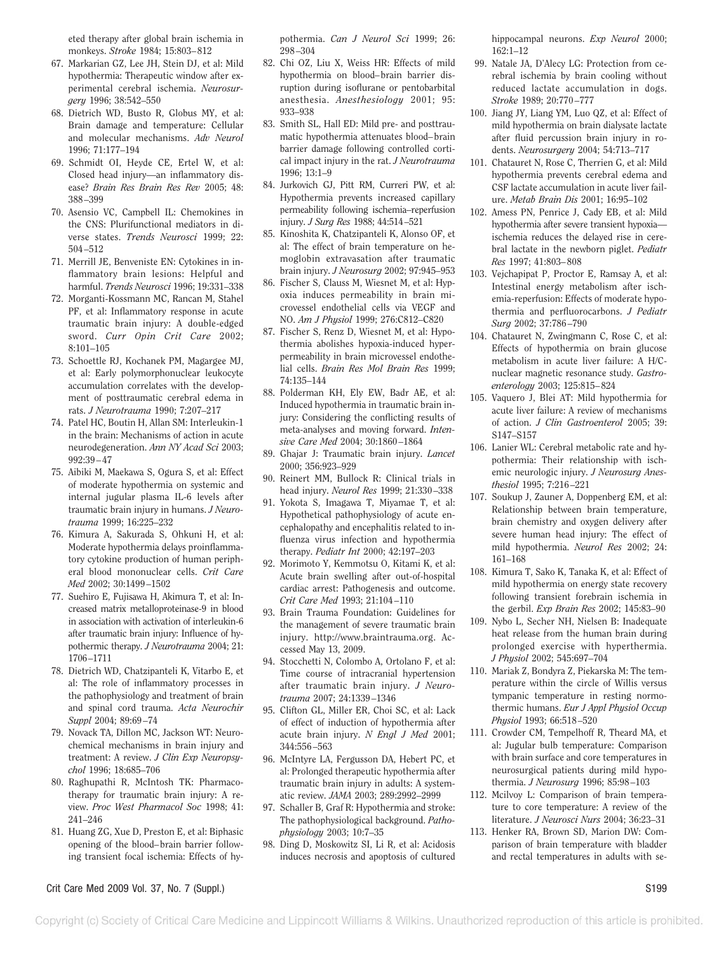eted therapy after global brain ischemia in monkeys. *Stroke* 1984; 15:803–812

- 67. Markarian GZ, Lee JH, Stein DJ, et al: Mild hypothermia: Therapeutic window after experimental cerebral ischemia. *Neurosurgery* 1996; 38:542–550
- 68. Dietrich WD, Busto R, Globus MY, et al: Brain damage and temperature: Cellular and molecular mechanisms. *Adv Neurol* 1996; 71:177–194
- 69. Schmidt OI, Heyde CE, Ertel W, et al: Closed head injury—an inflammatory disease? *Brain Res Brain Res Rev* 2005; 48: 388–399
- 70. Asensio VC, Campbell IL: Chemokines in the CNS: Plurifunctional mediators in diverse states. *Trends Neurosci* 1999; 22: 504–512
- 71. Merrill JE, Benveniste EN: Cytokines in inflammatory brain lesions: Helpful and harmful. *Trends Neurosci* 1996; 19:331–338
- 72. Morganti-Kossmann MC, Rancan M, Stahel PF, et al: Inflammatory response in acute traumatic brain injury: A double-edged sword. *Curr Opin Crit Care* 2002; 8:101–105
- 73. Schoettle RJ, Kochanek PM, Magargee MJ, et al: Early polymorphonuclear leukocyte accumulation correlates with the development of posttraumatic cerebral edema in rats. *J Neurotrauma* 1990; 7:207–217
- 74. Patel HC, Boutin H, Allan SM: Interleukin-1 in the brain: Mechanisms of action in acute neurodegeneration. *Ann NY Acad Sci* 2003; 992:39–47
- 75. Aibiki M, Maekawa S, Ogura S, et al: Effect of moderate hypothermia on systemic and internal jugular plasma IL-6 levels after traumatic brain injury in humans. *J Neurotrauma* 1999; 16:225–232
- 76. Kimura A, Sakurada S, Ohkuni H, et al: Moderate hypothermia delays proinflammatory cytokine production of human peripheral blood mononuclear cells. *Crit Care Med* 2002; 30:1499–1502
- 77. Suehiro E, Fujisawa H, Akimura T, et al: Increased matrix metalloproteinase-9 in blood in association with activation of interleukin-6 after traumatic brain injury: Influence of hypothermic therapy. *J Neurotrauma* 2004; 21: 1706–1711
- 78. Dietrich WD, Chatzipanteli K, Vitarbo E, et al: The role of inflammatory processes in the pathophysiology and treatment of brain and spinal cord trauma. *Acta Neurochir Suppl* 2004; 89:69–74
- 79. Novack TA, Dillon MC, Jackson WT: Neurochemical mechanisms in brain injury and treatment: A review. *J Clin Exp Neuropsychol* 1996; 18:685–706
- 80. Raghupathi R, McIntosh TK: Pharmacotherapy for traumatic brain injury: A review. *Proc West Pharmacol Soc* 1998; 41: 241–246
- 81. Huang ZG, Xue D, Preston E, et al: Biphasic opening of the blood–brain barrier following transient focal ischemia: Effects of hy-

pothermia. *Can J Neurol Sci* 1999; 26: 298–304

- 82. Chi OZ, Liu X, Weiss HR: Effects of mild hypothermia on blood–brain barrier disruption during isoflurane or pentobarbital anesthesia. *Anesthesiology* 2001; 95: 933–938
- 83. Smith SL, Hall ED: Mild pre- and posttraumatic hypothermia attenuates blood–brain barrier damage following controlled cortical impact injury in the rat. *J Neurotrauma* 1996; 13:1–9
- 84. Jurkovich GJ, Pitt RM, Curreri PW, et al: Hypothermia prevents increased capillary permeability following ischemia–reperfusion injury. *J Surg Res* 1988; 44:514–521
- 85. Kinoshita K, Chatzipanteli K, Alonso OF, et al: The effect of brain temperature on hemoglobin extravasation after traumatic brain injury. *J Neurosurg* 2002; 97:945–953
- 86. Fischer S, Clauss M, Wiesnet M, et al: Hypoxia induces permeability in brain microvessel endothelial cells via VEGF and NO. *Am J Physiol* 1999; 276:C812–C820
- 87. Fischer S, Renz D, Wiesnet M, et al: Hypothermia abolishes hypoxia-induced hyperpermeability in brain microvessel endothelial cells. *Brain Res Mol Brain Res* 1999; 74:135–144
- 88. Polderman KH, Ely EW, Badr AE, et al: Induced hypothermia in traumatic brain injury: Considering the conflicting results of meta-analyses and moving forward. *Intensive Care Med* 2004; 30:1860–1864
- 89. Ghajar J: Traumatic brain injury. *Lancet* 2000; 356:923–929
- 90. Reinert MM, Bullock R: Clinical trials in head injury. *Neurol Res* 1999; 21:330–338
- 91. Yokota S, Imagawa T, Miyamae T, et al: Hypothetical pathophysiology of acute encephalopathy and encephalitis related to influenza virus infection and hypothermia therapy. *Pediatr Int* 2000; 42:197–203
- 92. Morimoto Y, Kemmotsu O, Kitami K, et al: Acute brain swelling after out-of-hospital cardiac arrest: Pathogenesis and outcome. *Crit Care Med* 1993; 21:104–110
- 93. Brain Trauma Foundation: Guidelines for the management of severe traumatic brain injury. http://www.braintrauma.org. Accessed May 13, 2009.
- 94. Stocchetti N, Colombo A, Ortolano F, et al: Time course of intracranial hypertension after traumatic brain injury. *J Neurotrauma* 2007; 24:1339–1346
- 95. Clifton GL, Miller ER, Choi SC, et al: Lack of effect of induction of hypothermia after acute brain injury. *N Engl J Med* 2001; 344:556–563
- 96. McIntyre LA, Fergusson DA, Hebert PC, et al: Prolonged therapeutic hypothermia after traumatic brain injury in adults: A systematic review. *JAMA* 2003; 289:2992–2999
- 97. Schaller B, Graf R: Hypothermia and stroke: The pathophysiological background. *Pathophysiology* 2003; 10:7–35
- 98. Ding D, Moskowitz SI, Li R, et al: Acidosis induces necrosis and apoptosis of cultured

hippocampal neurons. *Exp Neurol* 2000; 162:1–12

- 99. Natale JA, D'Alecy LG: Protection from cerebral ischemia by brain cooling without reduced lactate accumulation in dogs. *Stroke* 1989; 20:770–777
- 100. Jiang JY, Liang YM, Luo QZ, et al: Effect of mild hypothermia on brain dialysate lactate after fluid percussion brain injury in rodents. *Neurosurgery* 2004; 54:713–717
- 101. Chatauret N, Rose C, Therrien G, et al: Mild hypothermia prevents cerebral edema and CSF lactate accumulation in acute liver failure. *Metab Brain Dis* 2001; 16:95–102
- 102. Amess PN, Penrice J, Cady EB, et al: Mild hypothermia after severe transient hypoxia ischemia reduces the delayed rise in cerebral lactate in the newborn piglet. *Pediatr Res* 1997; 41:803–808
- 103. Vejchapipat P, Proctor E, Ramsay A, et al: Intestinal energy metabolism after ischemia-reperfusion: Effects of moderate hypothermia and perfluorocarbons. *J Pediatr Surg* 2002; 37:786–790
- 104. Chatauret N, Zwingmann C, Rose C, et al: Effects of hypothermia on brain glucose metabolism in acute liver failure: A H/Cnuclear magnetic resonance study. *Gastroenterology* 2003; 125:815–824
- 105. Vaquero J, Blei AT: Mild hypothermia for acute liver failure: A review of mechanisms of action. *J Clin Gastroenterol* 2005; 39: S147–S157
- 106. Lanier WL: Cerebral metabolic rate and hypothermia: Their relationship with ischemic neurologic injury. *J Neurosurg Anesthesiol* 1995; 7:216–221
- 107. Soukup J, Zauner A, Doppenberg EM, et al: Relationship between brain temperature, brain chemistry and oxygen delivery after severe human head injury: The effect of mild hypothermia. *Neurol Res* 2002; 24: 161–168
- 108. Kimura T, Sako K, Tanaka K, et al: Effect of mild hypothermia on energy state recovery following transient forebrain ischemia in the gerbil. *Exp Brain Res* 2002; 145:83–90
- 109. Nybo L, Secher NH, Nielsen B: Inadequate heat release from the human brain during prolonged exercise with hyperthermia. *J Physiol* 2002; 545:697–704
- 110. Mariak Z, Bondyra Z, Piekarska M: The temperature within the circle of Willis versus tympanic temperature in resting normothermic humans. *Eur J Appl Physiol Occup Physiol* 1993; 66:518–520
- 111. Crowder CM, Tempelhoff R, Theard MA, et al: Jugular bulb temperature: Comparison with brain surface and core temperatures in neurosurgical patients during mild hypothermia. *J Neurosurg* 1996; 85:98–103
- 112. Mcilvoy L: Comparison of brain temperature to core temperature: A review of the literature. *J Neurosci Nurs* 2004; 36:23–31
- 113. Henker RA, Brown SD, Marion DW: Comparison of brain temperature with bladder and rectal temperatures in adults with se-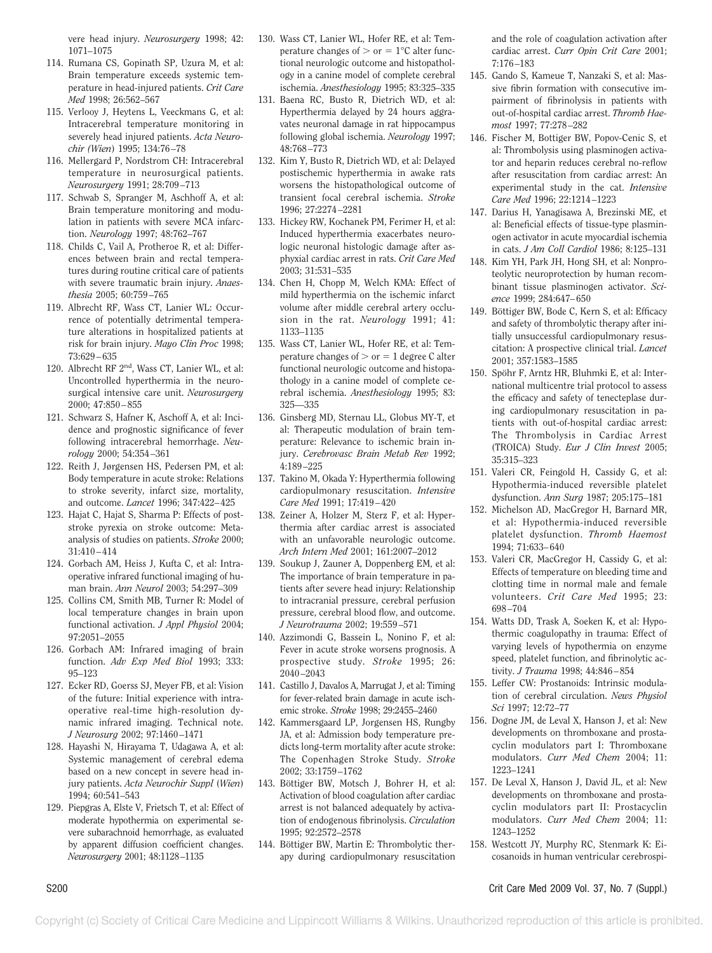vere head injury. *Neurosurgery* 1998; 42: 1071–1075

- 114. Rumana CS, Gopinath SP, Uzura M, et al: Brain temperature exceeds systemic temperature in head-injured patients. *Crit Care Med* 1998; 26:562–567
- 115. Verlooy J, Heytens L, Veeckmans G, et al: Intracerebral temperature monitoring in severely head injured patients. *Acta Neurochir (Wien*) 1995; 134:76–78
- 116. Mellergard P, Nordstrom CH: Intracerebral temperature in neurosurgical patients. *Neurosurgery* 1991; 28:709–713
- 117. Schwab S, Spranger M, Aschhoff A, et al: Brain temperature monitoring and modulation in patients with severe MCA infarction. *Neurology* 1997; 48:762–767
- 118. Childs C, Vail A, Protheroe R, et al: Differences between brain and rectal temperatures during routine critical care of patients with severe traumatic brain injury. *Anaesthesia* 2005; 60:759–765
- 119. Albrecht RF, Wass CT, Lanier WL: Occurrence of potentially detrimental temperature alterations in hospitalized patients at risk for brain injury. *Mayo Clin Proc* 1998; 73:629–635
- 120. Albrecht RF 2nd, Wass CT, Lanier WL, et al: Uncontrolled hyperthermia in the neurosurgical intensive care unit. *Neurosurgery* 2000; 47:850–855
- 121. Schwarz S, Hafner K, Aschoff A, et al: Incidence and prognostic significance of fever following intracerebral hemorrhage. *Neurology* 2000; 54:354–361
- 122. Reith J, Jørgensen HS, Pedersen PM, et al: Body temperature in acute stroke: Relations to stroke severity, infarct size, mortality, and outcome. *Lancet* 1996; 347:422–425
- 123. Hajat C, Hajat S, Sharma P: Effects of poststroke pyrexia on stroke outcome: Metaanalysis of studies on patients. *Stroke* 2000; 31:410–414
- 124. Gorbach AM, Heiss J, Kufta C, et al: Intraoperative infrared functional imaging of human brain. *Ann Neurol* 2003; 54:297–309
- 125. Collins CM, Smith MB, Turner R: Model of local temperature changes in brain upon functional activation. *J Appl Physiol* 2004; 97:2051–2055
- 126. Gorbach AM: Infrared imaging of brain function. *Adv Exp Med Biol* 1993; 333: 95–123
- 127. Ecker RD, Goerss SJ, Meyer FB, et al: Vision of the future: Initial experience with intraoperative real-time high-resolution dynamic infrared imaging. Technical note. *J Neurosurg* 2002; 97:1460–1471
- 128. Hayashi N, Hirayama T, Udagawa A, et al: Systemic management of cerebral edema based on a new concept in severe head injury patients. *Acta Neurochir Suppl* (*Wien*) 1994; 60:541–543
- 129. Piepgras A, Elste V, Frietsch T, et al: Effect of moderate hypothermia on experimental severe subarachnoid hemorrhage, as evaluated by apparent diffusion coefficient changes. *Neurosurgery* 2001; 48:1128–1135
- 130. Wass CT, Lanier WL, Hofer RE, et al: Temperature changes of  $>$  or  $= 1^{\circ}$ C alter functional neurologic outcome and histopathology in a canine model of complete cerebral ischemia. *Anesthesiology* 1995; 83:325–335
- 131. Baena RC, Busto R, Dietrich WD, et al: Hyperthermia delayed by 24 hours aggravates neuronal damage in rat hippocampus following global ischemia. *Neurology* 1997; 48:768–773
- 132. Kim Y, Busto R, Dietrich WD, et al: Delayed postischemic hyperthermia in awake rats worsens the histopathological outcome of transient focal cerebral ischemia. *Stroke* 1996; 27:2274–2281
- 133. Hickey RW, Kochanek PM, Ferimer H, et al: Induced hyperthermia exacerbates neurologic neuronal histologic damage after asphyxial cardiac arrest in rats. *Crit Care Med* 2003; 31:531–535
- 134. Chen H, Chopp M, Welch KMA: Effect of mild hyperthermia on the ischemic infarct volume after middle cerebral artery occlusion in the rat. *Neurology* 1991; 41: 1133–1135
- 135. Wass CT, Lanier WL, Hofer RE, et al: Temperature changes of  $>$  or  $= 1$  degree C alter functional neurologic outcome and histopathology in a canine model of complete cerebral ischemia. *Anesthesiology* 1995; 83: 325—335
- 136. Ginsberg MD, Sternau LL, Globus MY-T, et al: Therapeutic modulation of brain temperature: Relevance to ischemic brain injury. *Cerebrovasc Brain Metab Rev* 1992; 4:189–225
- 137. Takino M, Okada Y: Hyperthermia following cardiopulmonary resuscitation. *Intensive Care Med* 1991; 17:419–420
- 138. Zeiner A, Holzer M, Sterz F, et al: Hyperthermia after cardiac arrest is associated with an unfavorable neurologic outcome. *Arch Intern Med* 2001; 161:2007–2012
- 139. Soukup J, Zauner A, Doppenberg EM, et al: The importance of brain temperature in patients after severe head injury: Relationship to intracranial pressure, cerebral perfusion pressure, cerebral blood flow, and outcome. *J Neurotrauma* 2002; 19:559–571
- 140. Azzimondi G, Bassein L, Nonino F, et al: Fever in acute stroke worsens prognosis. A prospective study. *Stroke* 1995; 26: 2040–2043
- 141. Castillo J, Davalos A, Marrugat J, et al: Timing for fever-related brain damage in acute ischemic stroke. *Stroke* 1998; 29:2455–2460
- 142. Kammersgaard LP, Jorgensen HS, Rungby JA, et al: Admission body temperature predicts long-term mortality after acute stroke: The Copenhagen Stroke Study. *Stroke* 2002; 33:1759–1762
- 143. Böttiger BW, Motsch J, Bohrer H, et al: Activation of blood coagulation after cardiac arrest is not balanced adequately by activation of endogenous fibrinolysis. *Circulation* 1995; 92:2572–2578
- 144. Böttiger BW, Martin E: Thrombolytic therapy during cardiopulmonary resuscitation

and the role of coagulation activation after cardiac arrest. *Curr Opin Crit Care* 2001; 7:176–183

- 145. Gando S, Kameue T, Nanzaki S, et al: Massive fibrin formation with consecutive impairment of fibrinolysis in patients with out-of-hospital cardiac arrest. *Thromb Haemost* 1997; 77:278–282
- 146. Fischer M, Bottiger BW, Popov-Cenic S, et al: Thrombolysis using plasminogen activator and heparin reduces cerebral no-reflow after resuscitation from cardiac arrest: An experimental study in the cat. *Intensive Care Med* 1996; 22:1214–1223
- 147. Darius H, Yanagisawa A, Brezinski ME, et al: Beneficial effects of tissue-type plasminogen activator in acute myocardial ischemia in cats. *J Am Coll Cardiol* 1986; 8:125–131
- 148. Kim YH, Park JH, Hong SH, et al: Nonproteolytic neuroprotection by human recombinant tissue plasminogen activator. *Science* 1999; 284:647–650
- 149. Böttiger BW, Bode C, Kern S, et al: Efficacy and safety of thrombolytic therapy after initially unsuccessful cardiopulmonary resuscitation: A prospective clinical trial. *Lancet* 2001; 357:1583–1585
- 150. Spöhr F, Arntz HR, Bluhmki E, et al: International multicentre trial protocol to assess the efficacy and safety of tenecteplase during cardiopulmonary resuscitation in patients with out-of-hospital cardiac arrest: The Thrombolysis in Cardiac Arrest (TROICA) Study. *Eur J Clin Invest* 2005; 35:315–323
- 151. Valeri CR, Feingold H, Cassidy G, et al: Hypothermia-induced reversible platelet dysfunction. *Ann Surg* 1987; 205:175–181
- 152. Michelson AD, MacGregor H, Barnard MR, et al: Hypothermia-induced reversible platelet dysfunction. *Thromb Haemost* 1994; 71:633–640
- 153. Valeri CR, MacGregor H, Cassidy G, et al: Effects of temperature on bleeding time and clotting time in normal male and female volunteers. *Crit Care Med* 1995; 23: 698–704
- 154. Watts DD, Trask A, Soeken K, et al: Hypothermic coagulopathy in trauma: Effect of varying levels of hypothermia on enzyme speed, platelet function, and fibrinolytic activity. *J Trauma* 1998; 44:846–854
- 155. Leffer CW: Prostanoids: Intrinsic modulation of cerebral circulation. *News Physiol Sci* 1997; 12:72–77
- 156. Dogne JM, de Leval X, Hanson J, et al: New developments on thromboxane and prostacyclin modulators part I: Thromboxane modulators. *Curr Med Chem* 2004; 11: 1223–1241
- 157. De Leval X, Hanson J, David JL, et al: New developments on thromboxane and prostacyclin modulators part II: Prostacyclin modulators. *Curr Med Chem* 2004; 11: 1243–1252
- 158. Westcott JY, Murphy RC, Stenmark K: Eicosanoids in human ventricular cerebrospi-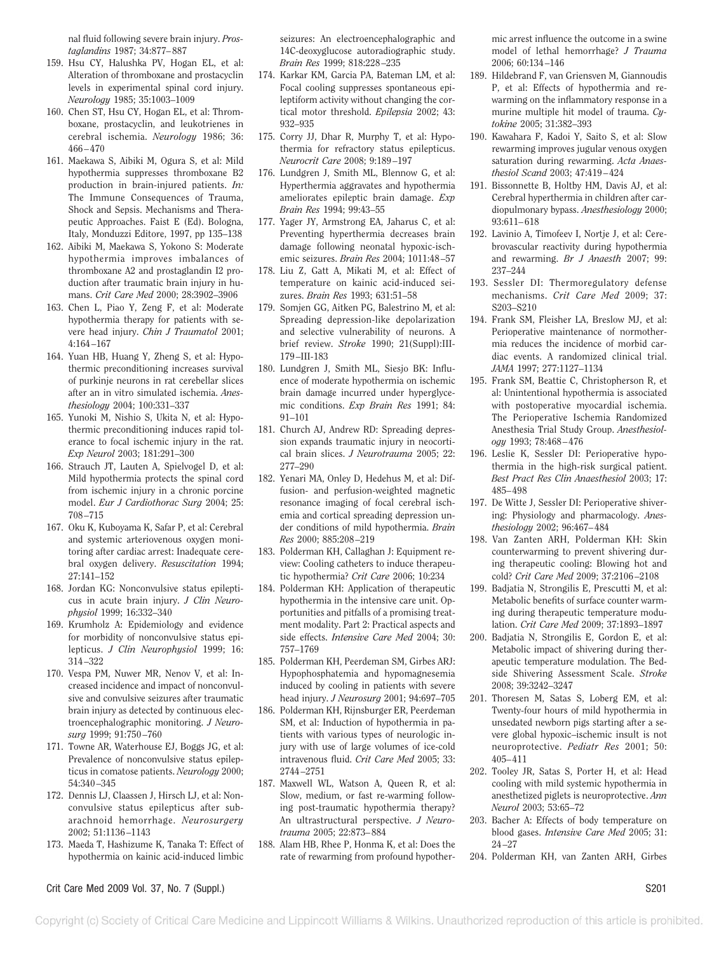nal fluid following severe brain injury. *Prostaglandins* 1987; 34:877–887

- 159. Hsu CY, Halushka PV, Hogan EL, et al: Alteration of thromboxane and prostacyclin levels in experimental spinal cord injury. *Neurology* 1985; 35:1003–1009
- 160. Chen ST, Hsu CY, Hogan EL, et al: Thromboxane, prostacyclin, and leukotrienes in cerebral ischemia. *Neurology* 1986; 36: 466–470
- 161. Maekawa S, Aibiki M, Ogura S, et al: Mild hypothermia suppresses thromboxane B2 production in brain-injured patients. *In:* The Immune Consequences of Trauma, Shock and Sepsis. Mechanisms and Therapeutic Approaches. Faist E (Ed). Bologna, Italy, Monduzzi Editore, 1997, pp 135–138
- 162. Aibiki M, Maekawa S, Yokono S: Moderate hypothermia improves imbalances of thromboxane A2 and prostaglandin I2 production after traumatic brain injury in humans. *Crit Care Med* 2000; 28:3902–3906
- 163. Chen L, Piao Y, Zeng F, et al: Moderate hypothermia therapy for patients with severe head injury. *Chin J Traumatol* 2001; 4:164–167
- 164. Yuan HB, Huang Y, Zheng S, et al: Hypothermic preconditioning increases survival of purkinje neurons in rat cerebellar slices after an in vitro simulated ischemia. *Anesthesiology* 2004; 100:331–337
- 165. Yunoki M, Nishio S, Ukita N, et al: Hypothermic preconditioning induces rapid tolerance to focal ischemic injury in the rat. *Exp Neurol* 2003; 181:291–300
- 166. Strauch JT, Lauten A, Spielvogel D, et al: Mild hypothermia protects the spinal cord from ischemic injury in a chronic porcine model. *Eur J Cardiothorac Surg* 2004; 25: 708–715
- 167. Oku K, Kuboyama K, Safar P, et al: Cerebral and systemic arteriovenous oxygen monitoring after cardiac arrest: Inadequate cerebral oxygen delivery. *Resuscitation* 1994; 27:141–152
- 168. Jordan KG: Nonconvulsive status epilepticus in acute brain injury. *J Clin Neurophysiol* 1999; 16:332–340
- 169. Krumholz A: Epidemiology and evidence for morbidity of nonconvulsive status epilepticus. *J Clin Neurophysiol* 1999; 16: 314–322
- 170. Vespa PM, Nuwer MR, Nenov V, et al: Increased incidence and impact of nonconvulsive and convulsive seizures after traumatic brain injury as detected by continuous electroencephalographic monitoring. *J Neurosurg* 1999; 91:750–760
- 171. Towne AR, Waterhouse EJ, Boggs JG, et al: Prevalence of nonconvulsive status epilepticus in comatose patients. *Neurology* 2000; 54:340–345
- 172. Dennis LJ, Claassen J, Hirsch LJ, et al: Nonconvulsive status epilepticus after subarachnoid hemorrhage. *Neurosurgery* 2002; 51:1136–1143
- 173. Maeda T, Hashizume K, Tanaka T: Effect of hypothermia on kainic acid-induced limbic

seizures: An electroencephalographic and 14C-deoxyglucose autoradiographic study. *Brain Res* 1999; 818:228–235

- 174. Karkar KM, Garcia PA, Bateman LM, et al: Focal cooling suppresses spontaneous epileptiform activity without changing the cortical motor threshold. *Epilepsia* 2002; 43: 932–935
- 175. Corry JJ, Dhar R, Murphy T, et al: Hypothermia for refractory status epilepticus. *Neurocrit Care* 2008; 9:189–197
- 176. Lundgren J, Smith ML, Blennow G, et al: Hyperthermia aggravates and hypothermia ameliorates epileptic brain damage. *Exp Brain Res* 1994; 99:43–55
- 177. Yager JY, Armstrong EA, Jaharus C, et al: Preventing hyperthermia decreases brain damage following neonatal hypoxic-ischemic seizures. *Brain Res* 2004; 1011:48–57
- 178. Liu Z, Gatt A, Mikati M, et al: Effect of temperature on kainic acid-induced seizures. *Brain Res* 1993; 631:51–58
- 179. Somjen GG, Aitken PG, Balestrino M, et al: Spreading depression-like depolarization and selective vulnerability of neurons. A brief review. *Stroke* 1990; 21(Suppl):III-179–III-183
- 180. Lundgren J, Smith ML, Siesjo BK: Influence of moderate hypothermia on ischemic brain damage incurred under hyperglycemic conditions. *Exp Brain Res* 1991; 84: 91–101
- 181. Church AJ, Andrew RD: Spreading depression expands traumatic injury in neocortical brain slices. *J Neurotrauma* 2005; 22: 277–290
- 182. Yenari MA, Onley D, Hedehus M, et al: Diffusion- and perfusion-weighted magnetic resonance imaging of focal cerebral ischemia and cortical spreading depression under conditions of mild hypothermia. *Brain Res* 2000; 885:208–219
- 183. Polderman KH, Callaghan J: Equipment review: Cooling catheters to induce therapeutic hypothermia? *Crit Care* 2006; 10:234
- 184. Polderman KH: Application of therapeutic hypothermia in the intensive care unit. Opportunities and pitfalls of a promising treatment modality. Part 2: Practical aspects and side effects. *Intensive Care Med* 2004; 30: 757–1769
- 185. Polderman KH, Peerdeman SM, Girbes ARJ: Hypophosphatemia and hypomagnesemia induced by cooling in patients with severe head injury. *J Neurosurg* 2001; 94:697–705
- 186. Polderman KH, Rijnsburger ER, Peerdeman SM, et al: Induction of hypothermia in patients with various types of neurologic injury with use of large volumes of ice-cold intravenous fluid. *Crit Care Med* 2005; 33: 2744–2751
- 187. Maxwell WL, Watson A, Queen R, et al: Slow, medium, or fast re-warming following post-traumatic hypothermia therapy? An ultrastructural perspective. *J Neurotrauma* 2005; 22:873–884
- 188. Alam HB, Rhee P, Honma K, et al: Does the rate of rewarming from profound hypother-

mic arrest influence the outcome in a swine model of lethal hemorrhage? *J Trauma* 2006; 60:134–146

- 189. Hildebrand F, van Griensven M, Giannoudis P, et al: Effects of hypothermia and rewarming on the inflammatory response in a murine multiple hit model of trauma. *Cytokine* 2005; 31:382–393
- 190. Kawahara F, Kadoi Y, Saito S, et al: Slow rewarming improves jugular venous oxygen saturation during rewarming. *Acta Anaesthesiol Scand* 2003; 47:419–424
- 191. Bissonnette B, Holtby HM, Davis AJ, et al: Cerebral hyperthermia in children after cardiopulmonary bypass. *Anesthesiology* 2000; 93:611–618
- 192. Lavinio A, Timofeev I, Nortje J, et al: Cerebrovascular reactivity during hypothermia and rewarming. *Br J Anaesth* 2007; 99: 237–244
- 193. Sessler DI: Thermoregulatory defense mechanisms. *Crit Care Med* 2009; 37: S203–S210
- 194. Frank SM, Fleisher LA, Breslow MJ, et al: Perioperative maintenance of normothermia reduces the incidence of morbid cardiac events. A randomized clinical trial. *JAMA* 1997; 277:1127–1134
- 195. Frank SM, Beattie C, Christopherson R, et al: Unintentional hypothermia is associated with postoperative myocardial ischemia. The Perioperative Ischemia Randomized Anesthesia Trial Study Group. *Anesthesiology* 1993; 78:468–476
- 196. Leslie K, Sessler DI: Perioperative hypothermia in the high-risk surgical patient. *Best Pract Res Clin Anaesthesiol* 2003; 17: 485–498
- 197. De Witte J, Sessler DI: Perioperative shivering: Physiology and pharmacology. *Anesthesiology* 2002; 96:467–484
- 198. Van Zanten ARH, Polderman KH: Skin counterwarming to prevent shivering during therapeutic cooling: Blowing hot and cold? *Crit Care Med* 2009; 37:2106–2108
- 199. Badjatia N, Strongilis E, Prescutti M, et al: Metabolic benefits of surface counter warming during therapeutic temperature modulation. *Crit Care Med* 2009; 37:1893–1897
- 200. Badjatia N, Strongilis E, Gordon E, et al: Metabolic impact of shivering during therapeutic temperature modulation. The Bedside Shivering Assessment Scale. *Stroke* 2008; 39:3242–3247
- 201. Thoresen M, Satas S, Loberg EM, et al: Twenty-four hours of mild hypothermia in unsedated newborn pigs starting after a severe global hypoxic–ischemic insult is not neuroprotective. *Pediatr Res* 2001; 50: 405–411
- 202. Tooley JR, Satas S, Porter H, et al: Head cooling with mild systemic hypothermia in anesthetized piglets is neuroprotective. *Ann Neurol* 2003; 53:65–72
- 203. Bacher A: Effects of body temperature on blood gases. *Intensive Care Med* 2005; 31: 24–27
- 204. Polderman KH, van Zanten ARH, Girbes